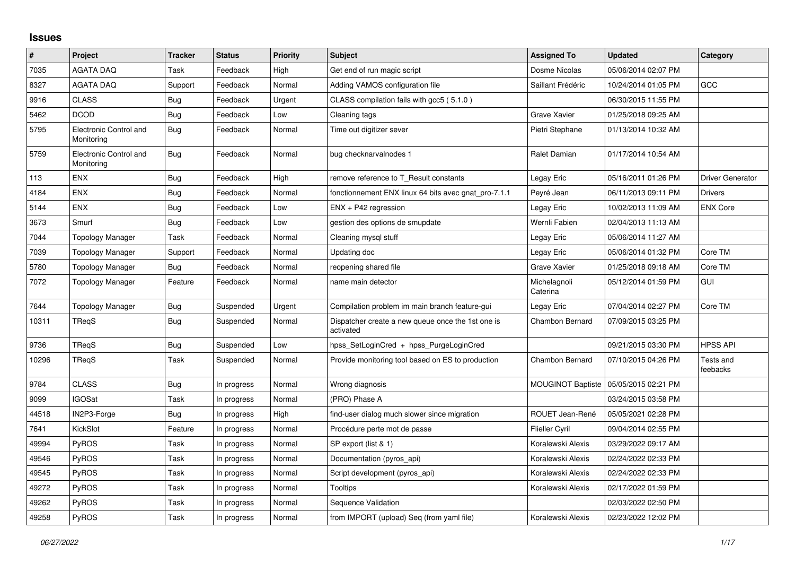## **Issues**

| #     | Project                              | <b>Tracker</b> | <b>Status</b> | <b>Priority</b> | <b>Subject</b>                                                 | <b>Assigned To</b>       | <b>Updated</b>      | Category                |
|-------|--------------------------------------|----------------|---------------|-----------------|----------------------------------------------------------------|--------------------------|---------------------|-------------------------|
| 7035  | <b>AGATA DAQ</b>                     | Task           | Feedback      | High            | Get end of run magic script                                    | Dosme Nicolas            | 05/06/2014 02:07 PM |                         |
| 8327  | <b>AGATA DAQ</b>                     | Support        | Feedback      | Normal          | Adding VAMOS configuration file                                | Saillant Frédéric        | 10/24/2014 01:05 PM | GCC                     |
| 9916  | <b>CLASS</b>                         | Bug            | Feedback      | Urgent          | CLASS compilation fails with gcc5 (5.1.0)                      |                          | 06/30/2015 11:55 PM |                         |
| 5462  | <b>DCOD</b>                          | Bug            | Feedback      | Low             | Cleaning tags                                                  | Grave Xavier             | 01/25/2018 09:25 AM |                         |
| 5795  | Electronic Control and<br>Monitoring | Bug            | Feedback      | Normal          | Time out digitizer sever                                       | Pietri Stephane          | 01/13/2014 10:32 AM |                         |
| 5759  | Electronic Control and<br>Monitoring | <b>Bug</b>     | Feedback      | Normal          | bug checknarvalnodes 1                                         | Ralet Damian             | 01/17/2014 10:54 AM |                         |
| 113   | <b>ENX</b>                           | Bug            | Feedback      | High            | remove reference to T Result constants                         | Legay Eric               | 05/16/2011 01:26 PM | <b>Driver Generator</b> |
| 4184  | <b>ENX</b>                           | Bug            | Feedback      | Normal          | fonctionnement ENX linux 64 bits avec gnat_pro-7.1.1           | Peyré Jean               | 06/11/2013 09:11 PM | <b>Drivers</b>          |
| 5144  | <b>ENX</b>                           | <b>Bug</b>     | Feedback      | Low             | ENX + P42 regression                                           | Legay Eric               | 10/02/2013 11:09 AM | <b>ENX Core</b>         |
| 3673  | Smurf                                | Bug            | Feedback      | Low             | gestion des options de smupdate                                | Wernli Fabien            | 02/04/2013 11:13 AM |                         |
| 7044  | <b>Topology Manager</b>              | Task           | Feedback      | Normal          | Cleaning mysql stuff                                           | Legay Eric               | 05/06/2014 11:27 AM |                         |
| 7039  | Topology Manager                     | Support        | Feedback      | Normal          | Updating doc                                                   | Legay Eric               | 05/06/2014 01:32 PM | Core TM                 |
| 5780  | <b>Topology Manager</b>              | Bug            | Feedback      | Normal          | reopening shared file                                          | Grave Xavier             | 01/25/2018 09:18 AM | Core TM                 |
| 7072  | Topology Manager                     | Feature        | Feedback      | Normal          | name main detector                                             | Michelagnoli<br>Caterina | 05/12/2014 01:59 PM | <b>GUI</b>              |
| 7644  | <b>Topology Manager</b>              | Bug            | Suspended     | Urgent          | Compilation problem im main branch feature-gui                 | Legay Eric               | 07/04/2014 02:27 PM | Core TM                 |
| 10311 | TReqS                                | Bug            | Suspended     | Normal          | Dispatcher create a new queue once the 1st one is<br>activated | <b>Chambon Bernard</b>   | 07/09/2015 03:25 PM |                         |
| 9736  | TReqS                                | Bug            | Suspended     | Low             | hpss SetLoginCred + hpss PurgeLoginCred                        |                          | 09/21/2015 03:30 PM | <b>HPSS API</b>         |
| 10296 | TReqS                                | Task           | Suspended     | Normal          | Provide monitoring tool based on ES to production              | Chambon Bernard          | 07/10/2015 04:26 PM | Tests and<br>feebacks   |
| 9784  | <b>CLASS</b>                         | Bug            | In progress   | Normal          | Wrong diagnosis                                                | <b>MOUGINOT Baptiste</b> | 05/05/2015 02:21 PM |                         |
| 9099  | <b>IGOSat</b>                        | Task           | In progress   | Normal          | (PRO) Phase A                                                  |                          | 03/24/2015 03:58 PM |                         |
| 44518 | IN2P3-Forge                          | Bug            | In progress   | High            | find-user dialog much slower since migration                   | ROUET Jean-René          | 05/05/2021 02:28 PM |                         |
| 7641  | KickSlot                             | Feature        | In progress   | Normal          | Procédure perte mot de passe                                   | Flieller Cyril           | 09/04/2014 02:55 PM |                         |
| 49994 | <b>PyROS</b>                         | Task           | In progress   | Normal          | SP export (list & 1)                                           | Koralewski Alexis        | 03/29/2022 09:17 AM |                         |
| 49546 | PyROS                                | Task           | In progress   | Normal          | Documentation (pyros_api)                                      | Koralewski Alexis        | 02/24/2022 02:33 PM |                         |
| 49545 | PyROS                                | Task           | In progress   | Normal          | Script development (pyros_api)                                 | Koralewski Alexis        | 02/24/2022 02:33 PM |                         |
| 49272 | <b>PyROS</b>                         | Task           | In progress   | Normal          | Tooltips                                                       | Koralewski Alexis        | 02/17/2022 01:59 PM |                         |
| 49262 | PyROS                                | Task           | In progress   | Normal          | Sequence Validation                                            |                          | 02/03/2022 02:50 PM |                         |
| 49258 | PyROS                                | Task           | In progress   | Normal          | from IMPORT (upload) Seq (from yaml file)                      | Koralewski Alexis        | 02/23/2022 12:02 PM |                         |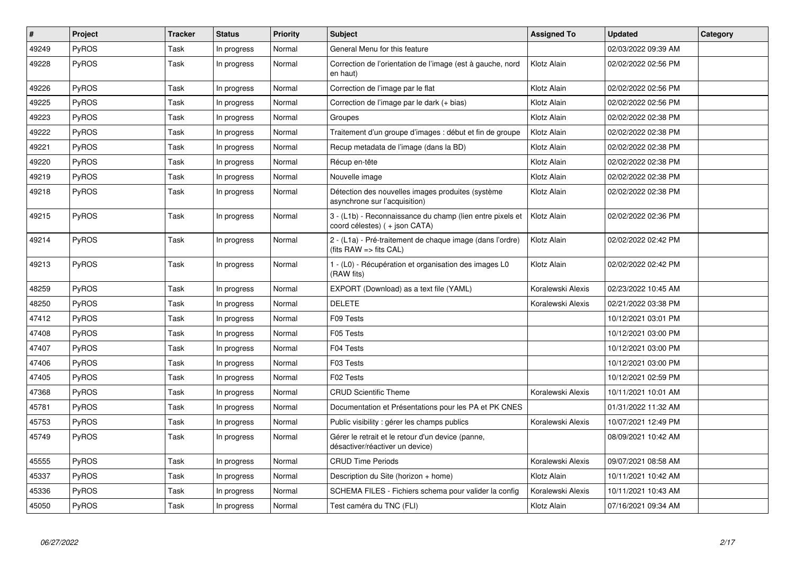| #     | Project      | <b>Tracker</b> | <b>Status</b> | <b>Priority</b> | <b>Subject</b>                                                                              | <b>Assigned To</b> | <b>Updated</b>      | Category |
|-------|--------------|----------------|---------------|-----------------|---------------------------------------------------------------------------------------------|--------------------|---------------------|----------|
| 49249 | <b>PyROS</b> | Task           | In progress   | Normal          | General Menu for this feature                                                               |                    | 02/03/2022 09:39 AM |          |
| 49228 | <b>PyROS</b> | Task           | In progress   | Normal          | Correction de l'orientation de l'image (est à gauche, nord<br>en haut)                      | Klotz Alain        | 02/02/2022 02:56 PM |          |
| 49226 | <b>PyROS</b> | Task           | In progress   | Normal          | Correction de l'image par le flat                                                           | Klotz Alain        | 02/02/2022 02:56 PM |          |
| 49225 | <b>PyROS</b> | Task           | In progress   | Normal          | Correction de l'image par le dark (+ bias)                                                  | Klotz Alain        | 02/02/2022 02:56 PM |          |
| 49223 | PyROS        | Task           | In progress   | Normal          | Groupes                                                                                     | Klotz Alain        | 02/02/2022 02:38 PM |          |
| 49222 | <b>PyROS</b> | Task           | In progress   | Normal          | Traitement d'un groupe d'images : début et fin de groupe                                    | Klotz Alain        | 02/02/2022 02:38 PM |          |
| 49221 | <b>PyROS</b> | Task           | In progress   | Normal          | Recup metadata de l'image (dans la BD)                                                      | Klotz Alain        | 02/02/2022 02:38 PM |          |
| 49220 | <b>PyROS</b> | Task           | In progress   | Normal          | Récup en-tête                                                                               | Klotz Alain        | 02/02/2022 02:38 PM |          |
| 49219 | <b>PyROS</b> | Task           | In progress   | Normal          | Nouvelle image                                                                              | Klotz Alain        | 02/02/2022 02:38 PM |          |
| 49218 | <b>PyROS</b> | Task           | In progress   | Normal          | Détection des nouvelles images produites (système<br>asynchrone sur l'acquisition)          | Klotz Alain        | 02/02/2022 02:38 PM |          |
| 49215 | <b>PyROS</b> | Task           | In progress   | Normal          | 3 - (L1b) - Reconnaissance du champ (lien entre pixels et<br>coord célestes) ( + json CATA) | Klotz Alain        | 02/02/2022 02:36 PM |          |
| 49214 | <b>PyROS</b> | Task           | In progress   | Normal          | 2 - (L1a) - Pré-traitement de chaque image (dans l'ordre)<br>(fits RAW => fits CAL)         | Klotz Alain        | 02/02/2022 02:42 PM |          |
| 49213 | <b>PyROS</b> | Task           | In progress   | Normal          | 1 - (L0) - Récupération et organisation des images L0<br>(RAW fits)                         | Klotz Alain        | 02/02/2022 02:42 PM |          |
| 48259 | <b>PyROS</b> | Task           | In progress   | Normal          | EXPORT (Download) as a text file (YAML)                                                     | Koralewski Alexis  | 02/23/2022 10:45 AM |          |
| 48250 | <b>PyROS</b> | Task           | In progress   | Normal          | <b>DELETE</b>                                                                               | Koralewski Alexis  | 02/21/2022 03:38 PM |          |
| 47412 | <b>PyROS</b> | Task           | In progress   | Normal          | F09 Tests                                                                                   |                    | 10/12/2021 03:01 PM |          |
| 47408 | PyROS        | Task           | In progress   | Normal          | F05 Tests                                                                                   |                    | 10/12/2021 03:00 PM |          |
| 47407 | <b>PyROS</b> | Task           | In progress   | Normal          | F04 Tests                                                                                   |                    | 10/12/2021 03:00 PM |          |
| 47406 | PyROS        | Task           | In progress   | Normal          | F03 Tests                                                                                   |                    | 10/12/2021 03:00 PM |          |
| 47405 | <b>PyROS</b> | Task           | In progress   | Normal          | F02 Tests                                                                                   |                    | 10/12/2021 02:59 PM |          |
| 47368 | <b>PyROS</b> | Task           | In progress   | Normal          | <b>CRUD Scientific Theme</b>                                                                | Koralewski Alexis  | 10/11/2021 10:01 AM |          |
| 45781 | PyROS        | Task           | In progress   | Normal          | Documentation et Présentations pour les PA et PK CNES                                       |                    | 01/31/2022 11:32 AM |          |
| 45753 | PyROS        | Task           | In progress   | Normal          | Public visibility : gérer les champs publics                                                | Koralewski Alexis  | 10/07/2021 12:49 PM |          |
| 45749 | <b>PyROS</b> | Task           | In progress   | Normal          | Gérer le retrait et le retour d'un device (panne,<br>désactiver/réactiver un device)        |                    | 08/09/2021 10:42 AM |          |
| 45555 | <b>PyROS</b> | Task           | In progress   | Normal          | <b>CRUD Time Periods</b>                                                                    | Koralewski Alexis  | 09/07/2021 08:58 AM |          |
| 45337 | PyROS        | Task           | In progress   | Normal          | Description du Site (horizon + home)                                                        | Klotz Alain        | 10/11/2021 10:42 AM |          |
| 45336 | <b>PyROS</b> | Task           | In progress   | Normal          | SCHEMA FILES - Fichiers schema pour valider la config                                       | Koralewski Alexis  | 10/11/2021 10:43 AM |          |
| 45050 | PyROS        | Task           | In progress   | Normal          | Test caméra du TNC (FLI)                                                                    | Klotz Alain        | 07/16/2021 09:34 AM |          |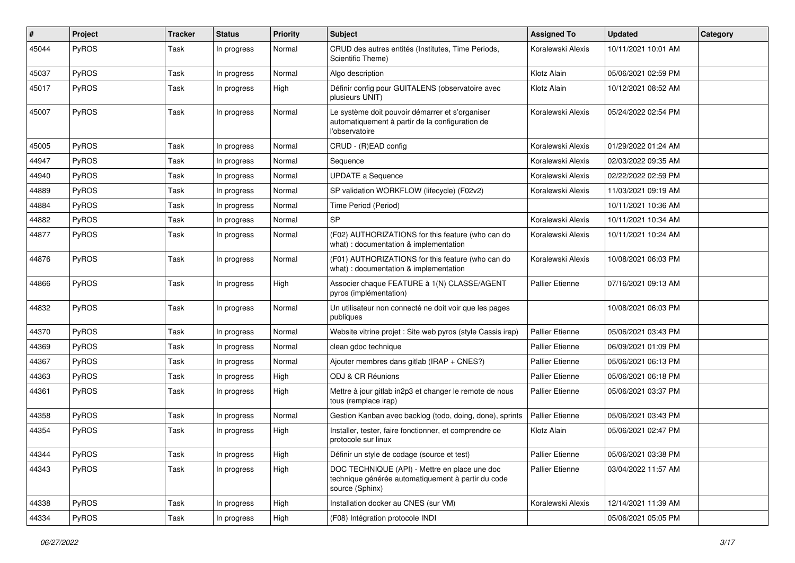| #     | Project      | <b>Tracker</b> | <b>Status</b> | <b>Priority</b> | <b>Subject</b>                                                                                                         | <b>Assigned To</b>     | <b>Updated</b>      | Category |
|-------|--------------|----------------|---------------|-----------------|------------------------------------------------------------------------------------------------------------------------|------------------------|---------------------|----------|
| 45044 | PyROS        | Task           | In progress   | Normal          | CRUD des autres entités (Institutes, Time Periods,<br>Scientific Theme)                                                | Koralewski Alexis      | 10/11/2021 10:01 AM |          |
| 45037 | <b>PyROS</b> | Task           | In progress   | Normal          | Algo description                                                                                                       | Klotz Alain            | 05/06/2021 02:59 PM |          |
| 45017 | PyROS        | Task           | In progress   | High            | Définir config pour GUITALENS (observatoire avec<br>plusieurs UNIT)                                                    | Klotz Alain            | 10/12/2021 08:52 AM |          |
| 45007 | PyROS        | Task           | In progress   | Normal          | Le système doit pouvoir démarrer et s'organiser<br>automatiquement à partir de la configuration de<br>l'observatoire   | Koralewski Alexis      | 05/24/2022 02:54 PM |          |
| 45005 | PyROS        | Task           | In progress   | Normal          | CRUD - (R)EAD config                                                                                                   | Koralewski Alexis      | 01/29/2022 01:24 AM |          |
| 44947 | PyROS        | Task           | In progress   | Normal          | Sequence                                                                                                               | Koralewski Alexis      | 02/03/2022 09:35 AM |          |
| 44940 | PyROS        | Task           | In progress   | Normal          | <b>UPDATE a Sequence</b>                                                                                               | Koralewski Alexis      | 02/22/2022 02:59 PM |          |
| 44889 | PyROS        | Task           | In progress   | Normal          | SP validation WORKFLOW (lifecycle) (F02v2)                                                                             | Koralewski Alexis      | 11/03/2021 09:19 AM |          |
| 44884 | PyROS        | Task           | In progress   | Normal          | Time Period (Period)                                                                                                   |                        | 10/11/2021 10:36 AM |          |
| 44882 | PyROS        | Task           | In progress   | Normal          | SP                                                                                                                     | Koralewski Alexis      | 10/11/2021 10:34 AM |          |
| 44877 | PyROS        | Task           | In progress   | Normal          | (F02) AUTHORIZATIONS for this feature (who can do<br>what) : documentation & implementation                            | Koralewski Alexis      | 10/11/2021 10:24 AM |          |
| 44876 | PyROS        | Task           | In progress   | Normal          | (F01) AUTHORIZATIONS for this feature (who can do<br>what) : documentation & implementation                            | Koralewski Alexis      | 10/08/2021 06:03 PM |          |
| 44866 | PyROS        | Task           | In progress   | High            | Associer chaque FEATURE à 1(N) CLASSE/AGENT<br>pyros (implémentation)                                                  | <b>Pallier Etienne</b> | 07/16/2021 09:13 AM |          |
| 44832 | PyROS        | Task           | In progress   | Normal          | Un utilisateur non connecté ne doit voir que les pages<br>publiques                                                    |                        | 10/08/2021 06:03 PM |          |
| 44370 | PyROS        | Task           | In progress   | Normal          | Website vitrine projet : Site web pyros (style Cassis irap)                                                            | <b>Pallier Etienne</b> | 05/06/2021 03:43 PM |          |
| 44369 | PyROS        | Task           | In progress   | Normal          | clean gdoc technique                                                                                                   | <b>Pallier Etienne</b> | 06/09/2021 01:09 PM |          |
| 44367 | PyROS        | Task           | In progress   | Normal          | Ajouter membres dans gitlab (IRAP + CNES?)                                                                             | <b>Pallier Etienne</b> | 05/06/2021 06:13 PM |          |
| 44363 | PyROS        | Task           | In progress   | High            | ODJ & CR Réunions                                                                                                      | <b>Pallier Etienne</b> | 05/06/2021 06:18 PM |          |
| 44361 | <b>PyROS</b> | Task           | In progress   | High            | Mettre à jour gitlab in2p3 et changer le remote de nous<br>tous (remplace irap)                                        | <b>Pallier Etienne</b> | 05/06/2021 03:37 PM |          |
| 44358 | PyROS        | Task           | In progress   | Normal          | Gestion Kanban avec backlog (todo, doing, done), sprints                                                               | Pallier Etienne        | 05/06/2021 03:43 PM |          |
| 44354 | PyROS        | Task           | In progress   | High            | Installer, tester, faire fonctionner, et comprendre ce<br>protocole sur linux                                          | Klotz Alain            | 05/06/2021 02:47 PM |          |
| 44344 | PyROS        | Task           | In progress   | High            | Définir un style de codage (source et test)                                                                            | <b>Pallier Etienne</b> | 05/06/2021 03:38 PM |          |
| 44343 | PyROS        | Task           | In progress   | High            | DOC TECHNIQUE (API) - Mettre en place une doc<br>technique générée automatiquement à partir du code<br>source (Sphinx) | Pallier Etienne        | 03/04/2022 11:57 AM |          |
| 44338 | PyROS        | Task           | In progress   | High            | Installation docker au CNES (sur VM)                                                                                   | Koralewski Alexis      | 12/14/2021 11:39 AM |          |
| 44334 | PyROS        | Task           | In progress   | High            | (F08) Intégration protocole INDI                                                                                       |                        | 05/06/2021 05:05 PM |          |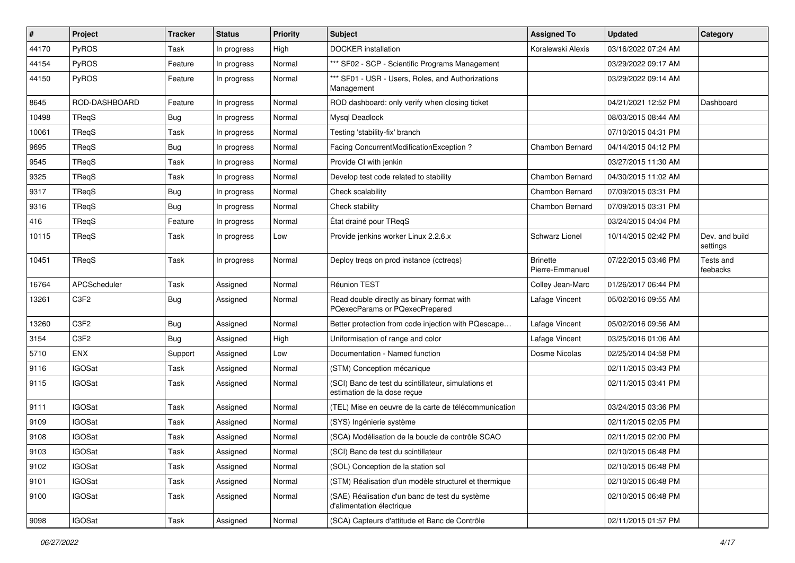| #     | Project          | <b>Tracker</b> | <b>Status</b> | <b>Priority</b> | Subject                                                                            | <b>Assigned To</b>                 | <b>Updated</b>      | Category                   |
|-------|------------------|----------------|---------------|-----------------|------------------------------------------------------------------------------------|------------------------------------|---------------------|----------------------------|
| 44170 | PyROS            | Task           | In progress   | High            | <b>DOCKER</b> installation                                                         | Koralewski Alexis                  | 03/16/2022 07:24 AM |                            |
| 44154 | PyROS            | Feature        | In progress   | Normal          | *** SF02 - SCP - Scientific Programs Management                                    |                                    | 03/29/2022 09:17 AM |                            |
| 44150 | PyROS            | Feature        | In progress   | Normal          | *** SF01 - USR - Users, Roles, and Authorizations<br>Management                    |                                    | 03/29/2022 09:14 AM |                            |
| 8645  | ROD-DASHBOARD    | Feature        | In progress   | Normal          | ROD dashboard: only verify when closing ticket                                     |                                    | 04/21/2021 12:52 PM | Dashboard                  |
| 10498 | TReqS            | <b>Bug</b>     | In progress   | Normal          | Mysql Deadlock                                                                     |                                    | 08/03/2015 08:44 AM |                            |
| 10061 | TReqS            | Task           | In progress   | Normal          | Testing 'stability-fix' branch                                                     |                                    | 07/10/2015 04:31 PM |                            |
| 9695  | TReqS            | <b>Bug</b>     | In progress   | Normal          | Facing ConcurrentModificationException?                                            | Chambon Bernard                    | 04/14/2015 04:12 PM |                            |
| 9545  | TReqS            | Task           | In progress   | Normal          | Provide CI with jenkin                                                             |                                    | 03/27/2015 11:30 AM |                            |
| 9325  | TReqS            | Task           | In progress   | Normal          | Develop test code related to stability                                             | Chambon Bernard                    | 04/30/2015 11:02 AM |                            |
| 9317  | TReqS            | <b>Bug</b>     | In progress   | Normal          | Check scalability                                                                  | Chambon Bernard                    | 07/09/2015 03:31 PM |                            |
| 9316  | TReqS            | <b>Bug</b>     | In progress   | Normal          | Check stability                                                                    | Chambon Bernard                    | 07/09/2015 03:31 PM |                            |
| 416   | TReqS            | Feature        | In progress   | Normal          | État drainé pour TReqS                                                             |                                    | 03/24/2015 04:04 PM |                            |
| 10115 | TReqS            | Task           | In progress   | Low             | Provide jenkins worker Linux 2.2.6.x                                               | <b>Schwarz Lionel</b>              | 10/14/2015 02:42 PM | Dev. and build<br>settings |
| 10451 | TReqS            | Task           | In progress   | Normal          | Deploy tregs on prod instance (cctregs)                                            | <b>Brinette</b><br>Pierre-Emmanuel | 07/22/2015 03:46 PM | Tests and<br>feebacks      |
| 16764 | APCScheduler     | Task           | Assigned      | Normal          | Réunion TEST                                                                       | Colley Jean-Marc                   | 01/26/2017 06:44 PM |                            |
| 13261 | C <sub>3F2</sub> | <b>Bug</b>     | Assigned      | Normal          | Read double directly as binary format with<br>PQexecParams or PQexecPrepared       | Lafage Vincent                     | 05/02/2016 09:55 AM |                            |
| 13260 | C3F2             | <b>Bug</b>     | Assigned      | Normal          | Better protection from code injection with PQescape                                | Lafage Vincent                     | 05/02/2016 09:56 AM |                            |
| 3154  | C3F2             | <b>Bug</b>     | Assigned      | High            | Uniformisation of range and color                                                  | Lafage Vincent                     | 03/25/2016 01:06 AM |                            |
| 5710  | ENX              | Support        | Assigned      | Low             | Documentation - Named function                                                     | Dosme Nicolas                      | 02/25/2014 04:58 PM |                            |
| 9116  | <b>IGOSat</b>    | Task           | Assigned      | Normal          | (STM) Conception mécanique                                                         |                                    | 02/11/2015 03:43 PM |                            |
| 9115  | <b>IGOSat</b>    | Task           | Assigned      | Normal          | (SCI) Banc de test du scintillateur, simulations et<br>estimation de la dose reçue |                                    | 02/11/2015 03:41 PM |                            |
| 9111  | <b>IGOSat</b>    | Task           | Assigned      | Normal          | (TEL) Mise en oeuvre de la carte de télécommunication                              |                                    | 03/24/2015 03:36 PM |                            |
| 9109  | <b>IGOSat</b>    | Task           | Assigned      | Normal          | (SYS) Ingénierie système                                                           |                                    | 02/11/2015 02:05 PM |                            |
| 9108  | <b>IGOSat</b>    | Task           | Assigned      | Normal          | (SCA) Modélisation de la boucle de contrôle SCAO                                   |                                    | 02/11/2015 02:00 PM |                            |
| 9103  | <b>IGOSat</b>    | Task           | Assigned      | Normal          | (SCI) Banc de test du scintillateur                                                |                                    | 02/10/2015 06:48 PM |                            |
| 9102  | <b>IGOSat</b>    | Task           | Assigned      | Normal          | (SOL) Conception de la station sol                                                 |                                    | 02/10/2015 06:48 PM |                            |
| 9101  | <b>IGOSat</b>    | Task           | Assigned      | Normal          | (STM) Réalisation d'un modèle structurel et thermique                              |                                    | 02/10/2015 06:48 PM |                            |
| 9100  | <b>IGOSat</b>    | Task           | Assigned      | Normal          | (SAE) Réalisation d'un banc de test du système<br>d'alimentation électrique        |                                    | 02/10/2015 06:48 PM |                            |
| 9098  | <b>IGOSat</b>    | Task           | Assigned      | Normal          | (SCA) Capteurs d'attitude et Banc de Contrôle                                      |                                    | 02/11/2015 01:57 PM |                            |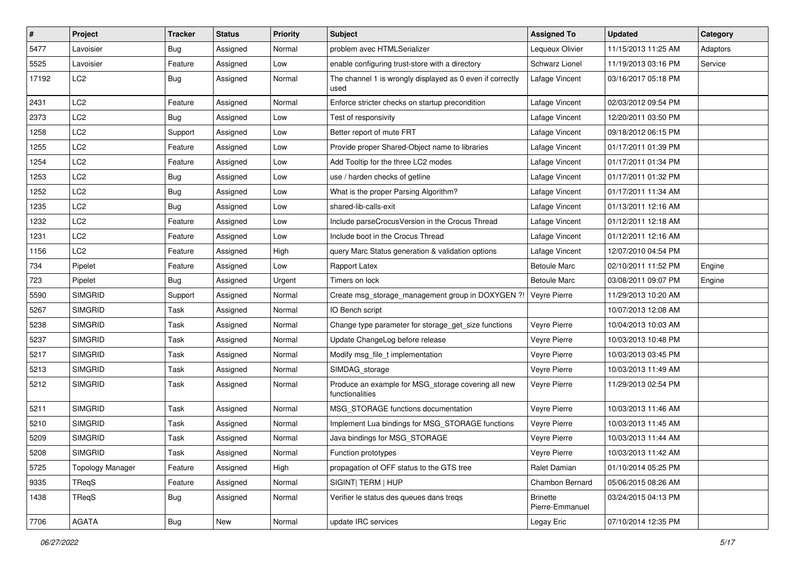| #     | Project                 | <b>Tracker</b> | <b>Status</b> | <b>Priority</b> | Subject                                                                | <b>Assigned To</b>                 | <b>Updated</b>      | Category |
|-------|-------------------------|----------------|---------------|-----------------|------------------------------------------------------------------------|------------------------------------|---------------------|----------|
| 5477  | Lavoisier               | <b>Bug</b>     | Assigned      | Normal          | problem avec HTMLSerializer                                            | Lequeux Olivier                    | 11/15/2013 11:25 AM | Adaptors |
| 5525  | Lavoisier               | Feature        | Assigned      | Low             | enable configuring trust-store with a directory                        | <b>Schwarz Lionel</b>              | 11/19/2013 03:16 PM | Service  |
| 17192 | LC2                     | <b>Bug</b>     | Assigned      | Normal          | The channel 1 is wrongly displayed as 0 even if correctly<br>used      | Lafage Vincent                     | 03/16/2017 05:18 PM |          |
| 2431  | LC <sub>2</sub>         | Feature        | Assigned      | Normal          | Enforce stricter checks on startup precondition                        | Lafage Vincent                     | 02/03/2012 09:54 PM |          |
| 2373  | LC <sub>2</sub>         | <b>Bug</b>     | Assigned      | Low             | Test of responsivity                                                   | Lafage Vincent                     | 12/20/2011 03:50 PM |          |
| 1258  | LC <sub>2</sub>         | Support        | Assigned      | Low             | Better report of mute FRT                                              | Lafage Vincent                     | 09/18/2012 06:15 PM |          |
| 1255  | LC <sub>2</sub>         | Feature        | Assigned      | Low             | Provide proper Shared-Object name to libraries                         | Lafage Vincent                     | 01/17/2011 01:39 PM |          |
| 1254  | LC <sub>2</sub>         | Feature        | Assigned      | Low             | Add Tooltip for the three LC2 modes                                    | Lafage Vincent                     | 01/17/2011 01:34 PM |          |
| 1253  | LC <sub>2</sub>         | <b>Bug</b>     | Assigned      | Low             | use / harden checks of getline                                         | Lafage Vincent                     | 01/17/2011 01:32 PM |          |
| 1252  | LC <sub>2</sub>         | <b>Bug</b>     | Assigned      | Low             | What is the proper Parsing Algorithm?                                  | Lafage Vincent                     | 01/17/2011 11:34 AM |          |
| 1235  | LC <sub>2</sub>         | <b>Bug</b>     | Assigned      | Low             | shared-lib-calls-exit                                                  | Lafage Vincent                     | 01/13/2011 12:16 AM |          |
| 1232  | LC <sub>2</sub>         | Feature        | Assigned      | Low             | Include parseCrocusVersion in the Crocus Thread                        | Lafage Vincent                     | 01/12/2011 12:18 AM |          |
| 1231  | LC <sub>2</sub>         | Feature        | Assigned      | Low             | Include boot in the Crocus Thread                                      | Lafage Vincent                     | 01/12/2011 12:16 AM |          |
| 1156  | LC <sub>2</sub>         | Feature        | Assigned      | High            | query Marc Status generation & validation options                      | Lafage Vincent                     | 12/07/2010 04:54 PM |          |
| 734   | Pipelet                 | Feature        | Assigned      | Low             | Rapport Latex                                                          | <b>Betoule Marc</b>                | 02/10/2011 11:52 PM | Engine   |
| 723   | Pipelet                 | <b>Bug</b>     | Assigned      | Urgent          | Timers on lock                                                         | <b>Betoule Marc</b>                | 03/08/2011 09:07 PM | Engine   |
| 5590  | <b>SIMGRID</b>          | Support        | Assigned      | Normal          | Create msg_storage_management group in DOXYGEN ?!                      | Veyre Pierre                       | 11/29/2013 10:20 AM |          |
| 5267  | <b>SIMGRID</b>          | Task           | Assigned      | Normal          | IO Bench script                                                        |                                    | 10/07/2013 12:08 AM |          |
| 5238  | <b>SIMGRID</b>          | Task           | Assigned      | Normal          | Change type parameter for storage_get_size functions                   | Veyre Pierre                       | 10/04/2013 10:03 AM |          |
| 5237  | <b>SIMGRID</b>          | Task           | Assigned      | Normal          | Update ChangeLog before release                                        | Veyre Pierre                       | 10/03/2013 10:48 PM |          |
| 5217  | <b>SIMGRID</b>          | Task           | Assigned      | Normal          | Modify msg_file_t implementation                                       | Veyre Pierre                       | 10/03/2013 03:45 PM |          |
| 5213  | <b>SIMGRID</b>          | Task           | Assigned      | Normal          | SIMDAG_storage                                                         | Veyre Pierre                       | 10/03/2013 11:49 AM |          |
| 5212  | <b>SIMGRID</b>          | Task           | Assigned      | Normal          | Produce an example for MSG_storage covering all new<br>functionalities | Veyre Pierre                       | 11/29/2013 02:54 PM |          |
| 5211  | <b>SIMGRID</b>          | Task           | Assigned      | Normal          | MSG STORAGE functions documentation                                    | Veyre Pierre                       | 10/03/2013 11:46 AM |          |
| 5210  | <b>SIMGRID</b>          | Task           | Assigned      | Normal          | Implement Lua bindings for MSG_STORAGE functions                       | Veyre Pierre                       | 10/03/2013 11:45 AM |          |
| 5209  | <b>SIMGRID</b>          | Task           | Assigned      | Normal          | Java bindings for MSG_STORAGE                                          | Veyre Pierre                       | 10/03/2013 11:44 AM |          |
| 5208  | <b>SIMGRID</b>          | Task           | Assigned      | Normal          | Function prototypes                                                    | Veyre Pierre                       | 10/03/2013 11:42 AM |          |
| 5725  | <b>Topology Manager</b> | Feature        | Assigned      | High            | propagation of OFF status to the GTS tree                              | Ralet Damian                       | 01/10/2014 05:25 PM |          |
| 9335  | TReqS                   | Feature        | Assigned      | Normal          | SIGINT  TERM   HUP                                                     | Chambon Bernard                    | 05/06/2015 08:26 AM |          |
| 1438  | TReqS                   | <b>Bug</b>     | Assigned      | Normal          | Verifier le status des queues dans tregs                               | <b>Brinette</b><br>Pierre-Emmanuel | 03/24/2015 04:13 PM |          |
| 7706  | AGATA                   | <b>Bug</b>     | New           | Normal          | update IRC services                                                    | Legay Eric                         | 07/10/2014 12:35 PM |          |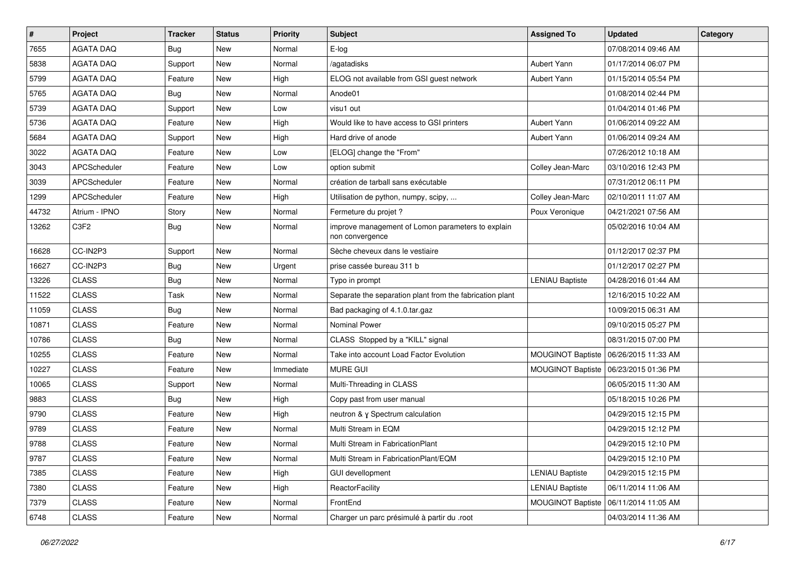| #     | Project          | <b>Tracker</b> | <b>Status</b> | <b>Priority</b> | <b>Subject</b>                                                       | <b>Assigned To</b>       | <b>Updated</b>      | Category |
|-------|------------------|----------------|---------------|-----------------|----------------------------------------------------------------------|--------------------------|---------------------|----------|
| 7655  | <b>AGATA DAQ</b> | <b>Bug</b>     | New           | Normal          | E-log                                                                |                          | 07/08/2014 09:46 AM |          |
| 5838  | <b>AGATA DAQ</b> | Support        | <b>New</b>    | Normal          | /agatadisks                                                          | <b>Aubert Yann</b>       | 01/17/2014 06:07 PM |          |
| 5799  | <b>AGATA DAQ</b> | Feature        | New           | High            | ELOG not available from GSI guest network                            | Aubert Yann              | 01/15/2014 05:54 PM |          |
| 5765  | <b>AGATA DAQ</b> | Bug            | New           | Normal          | Anode01                                                              |                          | 01/08/2014 02:44 PM |          |
| 5739  | <b>AGATA DAQ</b> | Support        | New           | Low             | visu1 out                                                            |                          | 01/04/2014 01:46 PM |          |
| 5736  | <b>AGATA DAQ</b> | Feature        | New           | High            | Would like to have access to GSI printers                            | Aubert Yann              | 01/06/2014 09:22 AM |          |
| 5684  | <b>AGATA DAQ</b> | Support        | <b>New</b>    | High            | Hard drive of anode                                                  | Aubert Yann              | 01/06/2014 09:24 AM |          |
| 3022  | <b>AGATA DAQ</b> | Feature        | New           | Low             | [ELOG] change the "From"                                             |                          | 07/26/2012 10:18 AM |          |
| 3043  | APCScheduler     | Feature        | <b>New</b>    | Low             | option submit                                                        | Colley Jean-Marc         | 03/10/2016 12:43 PM |          |
| 3039  | APCScheduler     | Feature        | New           | Normal          | création de tarball sans exécutable                                  |                          | 07/31/2012 06:11 PM |          |
| 1299  | APCScheduler     | Feature        | New           | High            | Utilisation de python, numpy, scipy,                                 | Colley Jean-Marc         | 02/10/2011 11:07 AM |          |
| 44732 | Atrium - IPNO    | Story          | New           | Normal          | Fermeture du projet ?                                                | Poux Veronique           | 04/21/2021 07:56 AM |          |
| 13262 | C3F2             | <b>Bug</b>     | New           | Normal          | improve management of Lomon parameters to explain<br>non convergence |                          | 05/02/2016 10:04 AM |          |
| 16628 | CC-IN2P3         | Support        | <b>New</b>    | Normal          | Sèche cheveux dans le vestiaire                                      |                          | 01/12/2017 02:37 PM |          |
| 16627 | CC-IN2P3         | <b>Bug</b>     | New           | Urgent          | prise cassée bureau 311 b                                            |                          | 01/12/2017 02:27 PM |          |
| 13226 | <b>CLASS</b>     | <b>Bug</b>     | <b>New</b>    | Normal          | Typo in prompt                                                       | <b>LENIAU Baptiste</b>   | 04/28/2016 01:44 AM |          |
| 11522 | <b>CLASS</b>     | Task           | <b>New</b>    | Normal          | Separate the separation plant from the fabrication plant             |                          | 12/16/2015 10:22 AM |          |
| 11059 | <b>CLASS</b>     | <b>Bug</b>     | New           | Normal          | Bad packaging of 4.1.0.tar.gaz                                       |                          | 10/09/2015 06:31 AM |          |
| 10871 | <b>CLASS</b>     | Feature        | <b>New</b>    | Normal          | <b>Nominal Power</b>                                                 |                          | 09/10/2015 05:27 PM |          |
| 10786 | <b>CLASS</b>     | <b>Bug</b>     | New           | Normal          | CLASS Stopped by a "KILL" signal                                     |                          | 08/31/2015 07:00 PM |          |
| 10255 | <b>CLASS</b>     | Feature        | <b>New</b>    | Normal          | Take into account Load Factor Evolution                              | MOUGINOT Baptiste        | 06/26/2015 11:33 AM |          |
| 10227 | <b>CLASS</b>     | Feature        | New           | Immediate       | <b>MURE GUI</b>                                                      | MOUGINOT Baptiste        | 06/23/2015 01:36 PM |          |
| 10065 | <b>CLASS</b>     | Support        | New           | Normal          | Multi-Threading in CLASS                                             |                          | 06/05/2015 11:30 AM |          |
| 9883  | <b>CLASS</b>     | Bug            | New           | High            | Copy past from user manual                                           |                          | 05/18/2015 10:26 PM |          |
| 9790  | <b>CLASS</b>     | Feature        | New           | High            | neutron & γ Spectrum calculation                                     |                          | 04/29/2015 12:15 PM |          |
| 9789  | <b>CLASS</b>     | Feature        | New           | Normal          | Multi Stream in EQM                                                  |                          | 04/29/2015 12:12 PM |          |
| 9788  | <b>CLASS</b>     | Feature        | New           | Normal          | Multi Stream in FabricationPlant                                     |                          | 04/29/2015 12:10 PM |          |
| 9787  | <b>CLASS</b>     | Feature        | New           | Normal          | Multi Stream in FabricationPlant/EQM                                 |                          | 04/29/2015 12:10 PM |          |
| 7385  | <b>CLASS</b>     | Feature        | New           | High            | <b>GUI devellopment</b>                                              | <b>LENIAU Baptiste</b>   | 04/29/2015 12:15 PM |          |
| 7380  | CLASS            | Feature        | New           | High            | ReactorFacility                                                      | <b>LENIAU Baptiste</b>   | 06/11/2014 11:06 AM |          |
| 7379  | <b>CLASS</b>     | Feature        | New           | Normal          | FrontEnd                                                             | <b>MOUGINOT Baptiste</b> | 06/11/2014 11:05 AM |          |
| 6748  | CLASS            | Feature        | New           | Normal          | Charger un parc présimulé à partir du .root                          |                          | 04/03/2014 11:36 AM |          |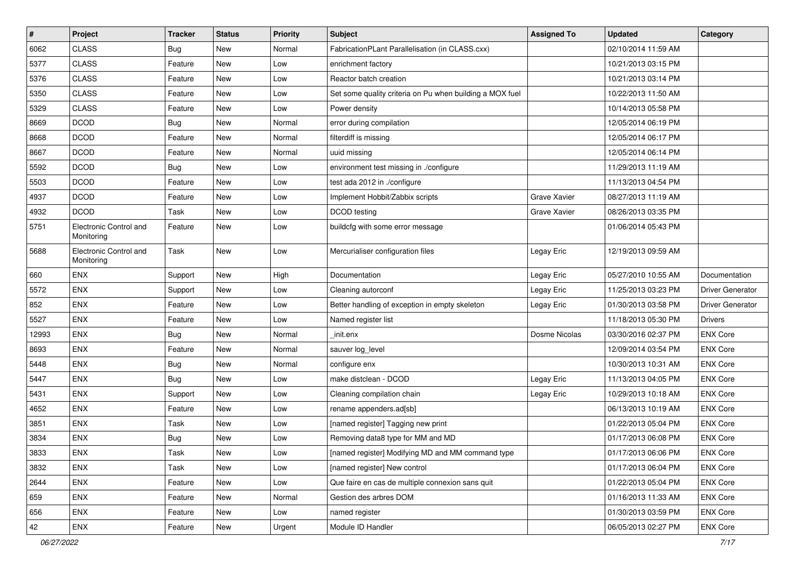| $\sharp$ | Project                              | <b>Tracker</b> | <b>Status</b> | <b>Priority</b> | Subject                                                  | <b>Assigned To</b>  | <b>Updated</b>      | Category                |
|----------|--------------------------------------|----------------|---------------|-----------------|----------------------------------------------------------|---------------------|---------------------|-------------------------|
| 6062     | <b>CLASS</b>                         | <b>Bug</b>     | New           | Normal          | FabricationPLant Parallelisation (in CLASS.cxx)          |                     | 02/10/2014 11:59 AM |                         |
| 5377     | <b>CLASS</b>                         | Feature        | New           | Low             | enrichment factory                                       |                     | 10/21/2013 03:15 PM |                         |
| 5376     | <b>CLASS</b>                         | Feature        | New           | Low             | Reactor batch creation                                   |                     | 10/21/2013 03:14 PM |                         |
| 5350     | <b>CLASS</b>                         | Feature        | New           | Low             | Set some quality criteria on Pu when building a MOX fuel |                     | 10/22/2013 11:50 AM |                         |
| 5329     | <b>CLASS</b>                         | Feature        | New           | Low             | Power density                                            |                     | 10/14/2013 05:58 PM |                         |
| 8669     | <b>DCOD</b>                          | <b>Bug</b>     | New           | Normal          | error during compilation                                 |                     | 12/05/2014 06:19 PM |                         |
| 8668     | <b>DCOD</b>                          | Feature        | <b>New</b>    | Normal          | filterdiff is missing                                    |                     | 12/05/2014 06:17 PM |                         |
| 8667     | <b>DCOD</b>                          | Feature        | New           | Normal          | uuid missing                                             |                     | 12/05/2014 06:14 PM |                         |
| 5592     | <b>DCOD</b>                          | <b>Bug</b>     | New           | Low             | environment test missing in ./configure                  |                     | 11/29/2013 11:19 AM |                         |
| 5503     | <b>DCOD</b>                          | Feature        | New           | Low             | test ada 2012 in ./configure                             |                     | 11/13/2013 04:54 PM |                         |
| 4937     | <b>DCOD</b>                          | Feature        | New           | Low             | Implement Hobbit/Zabbix scripts                          | <b>Grave Xavier</b> | 08/27/2013 11:19 AM |                         |
| 4932     | <b>DCOD</b>                          | Task           | New           | Low             | DCOD testing                                             | <b>Grave Xavier</b> | 08/26/2013 03:35 PM |                         |
| 5751     | Electronic Control and<br>Monitoring | Feature        | <b>New</b>    | Low             | buildcfg with some error message                         |                     | 01/06/2014 05:43 PM |                         |
| 5688     | Electronic Control and<br>Monitoring | Task           | New           | Low             | Mercurialiser configuration files                        | Legay Eric          | 12/19/2013 09:59 AM |                         |
| 660      | <b>ENX</b>                           | Support        | <b>New</b>    | High            | Documentation                                            | Legay Eric          | 05/27/2010 10:55 AM | Documentation           |
| 5572     | <b>ENX</b>                           | Support        | New           | Low             | Cleaning autorconf                                       | Legay Eric          | 11/25/2013 03:23 PM | <b>Driver Generator</b> |
| 852      | ENX                                  | Feature        | New           | Low             | Better handling of exception in empty skeleton           | Legay Eric          | 01/30/2013 03:58 PM | <b>Driver Generator</b> |
| 5527     | <b>ENX</b>                           | Feature        | <b>New</b>    | Low             | Named register list                                      |                     | 11/18/2013 05:30 PM | <b>Drivers</b>          |
| 12993    | ENX                                  | <b>Bug</b>     | New           | Normal          | init.enx                                                 | Dosme Nicolas       | 03/30/2016 02:37 PM | <b>ENX Core</b>         |
| 8693     | <b>ENX</b>                           | Feature        | New           | Normal          | sauver log_level                                         |                     | 12/09/2014 03:54 PM | <b>ENX Core</b>         |
| 5448     | <b>ENX</b>                           | Bug            | New           | Normal          | configure enx                                            |                     | 10/30/2013 10:31 AM | <b>ENX Core</b>         |
| 5447     | ENX                                  | <b>Bug</b>     | New           | Low             | make distclean - DCOD                                    | Legay Eric          | 11/13/2013 04:05 PM | <b>ENX Core</b>         |
| 5431     | <b>ENX</b>                           | Support        | New           | Low             | Cleaning compilation chain                               | Legay Eric          | 10/29/2013 10:18 AM | <b>ENX Core</b>         |
| 4652     | <b>ENX</b>                           | Feature        | New           | Low             | rename appenders.ad[sb]                                  |                     | 06/13/2013 10:19 AM | <b>ENX Core</b>         |
| 3851     | <b>ENX</b>                           | Task           | New           | Low             | [named register] Tagging new print                       |                     | 01/22/2013 05:04 PM | <b>ENX Core</b>         |
| 3834     | <b>ENX</b>                           | <b>Bug</b>     | New           | Low             | Removing data8 type for MM and MD                        |                     | 01/17/2013 06:08 PM | <b>ENX Core</b>         |
| 3833     | ENX                                  | Task           | <b>New</b>    | Low             | [named register] Modifying MD and MM command type        |                     | 01/17/2013 06:06 PM | <b>ENX Core</b>         |
| 3832     | ENX                                  | Task           | New           | Low             | [named register] New control                             |                     | 01/17/2013 06:04 PM | <b>ENX Core</b>         |
| 2644     | ENX                                  | Feature        | New           | Low             | Que faire en cas de multiple connexion sans quit         |                     | 01/22/2013 05:04 PM | <b>ENX Core</b>         |
| 659      | ENX                                  | Feature        | New           | Normal          | Gestion des arbres DOM                                   |                     | 01/16/2013 11:33 AM | <b>ENX Core</b>         |
| 656      | ENX                                  | Feature        | New           | Low             | named register                                           |                     | 01/30/2013 03:59 PM | <b>ENX Core</b>         |
| 42       | ENX                                  | Feature        | New           | Urgent          | Module ID Handler                                        |                     | 06/05/2013 02:27 PM | <b>ENX Core</b>         |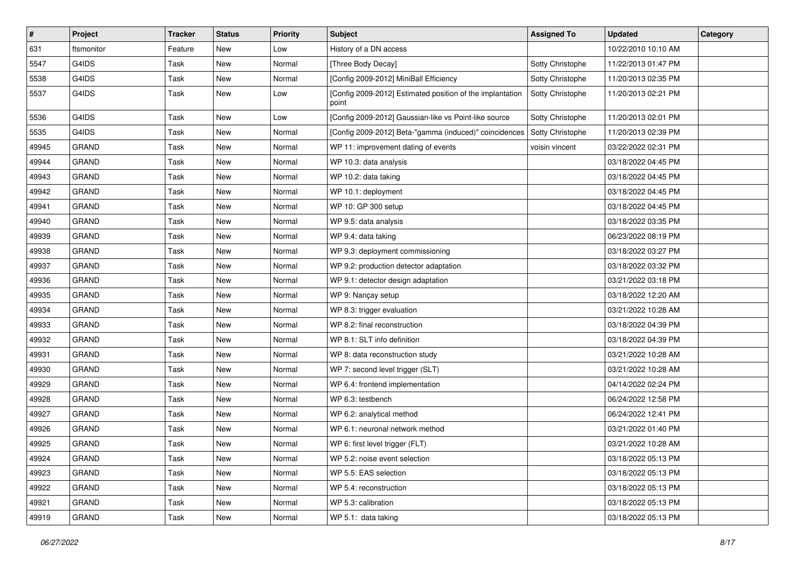| #     | <b>Project</b> | <b>Tracker</b> | <b>Status</b> | <b>Priority</b> | <b>Subject</b>                                                     | <b>Assigned To</b> | <b>Updated</b>      | Category |
|-------|----------------|----------------|---------------|-----------------|--------------------------------------------------------------------|--------------------|---------------------|----------|
| 631   | ftsmonitor     | Feature        | New           | Low             | History of a DN access                                             |                    | 10/22/2010 10:10 AM |          |
| 5547  | G4IDS          | Task           | New           | Normal          | [Three Body Decay]                                                 | Sotty Christophe   | 11/22/2013 01:47 PM |          |
| 5538  | G4IDS          | Task           | New           | Normal          | [Config 2009-2012] MiniBall Efficiency                             | Sotty Christophe   | 11/20/2013 02:35 PM |          |
| 5537  | G4IDS          | Task           | New           | Low             | [Config 2009-2012] Estimated position of the implantation<br>point | Sotty Christophe   | 11/20/2013 02:21 PM |          |
| 5536  | G4IDS          | Task           | New           | Low             | [Config 2009-2012] Gaussian-like vs Point-like source              | Sotty Christophe   | 11/20/2013 02:01 PM |          |
| 5535  | G4IDS          | Task           | New           | Normal          | [Config 2009-2012] Beta-"gamma (induced)" coincidences             | Sotty Christophe   | 11/20/2013 02:39 PM |          |
| 49945 | <b>GRAND</b>   | Task           | New           | Normal          | WP 11: improvement dating of events                                | voisin vincent     | 03/22/2022 02:31 PM |          |
| 49944 | <b>GRAND</b>   | Task           | New           | Normal          | WP 10.3: data analysis                                             |                    | 03/18/2022 04:45 PM |          |
| 49943 | <b>GRAND</b>   | Task           | <b>New</b>    | Normal          | WP 10.2: data taking                                               |                    | 03/18/2022 04:45 PM |          |
| 49942 | <b>GRAND</b>   | Task           | New           | Normal          | WP 10.1: deployment                                                |                    | 03/18/2022 04:45 PM |          |
| 49941 | <b>GRAND</b>   | Task           | New           | Normal          | WP 10: GP 300 setup                                                |                    | 03/18/2022 04:45 PM |          |
| 49940 | <b>GRAND</b>   | Task           | <b>New</b>    | Normal          | WP 9.5: data analysis                                              |                    | 03/18/2022 03:35 PM |          |
| 49939 | <b>GRAND</b>   | Task           | New           | Normal          | WP 9.4: data taking                                                |                    | 06/23/2022 08:19 PM |          |
| 49938 | <b>GRAND</b>   | Task           | <b>New</b>    | Normal          | WP 9.3: deployment commissioning                                   |                    | 03/18/2022 03:27 PM |          |
| 49937 | <b>GRAND</b>   | Task           | New           | Normal          | WP 9.2: production detector adaptation                             |                    | 03/18/2022 03:32 PM |          |
| 49936 | <b>GRAND</b>   | Task           | New           | Normal          | WP 9.1: detector design adaptation                                 |                    | 03/21/2022 03:18 PM |          |
| 49935 | <b>GRAND</b>   | Task           | New           | Normal          | WP 9: Nançay setup                                                 |                    | 03/18/2022 12:20 AM |          |
| 49934 | <b>GRAND</b>   | Task           | New           | Normal          | WP 8.3: trigger evaluation                                         |                    | 03/21/2022 10:28 AM |          |
| 49933 | <b>GRAND</b>   | Task           | New           | Normal          | WP 8.2: final reconstruction                                       |                    | 03/18/2022 04:39 PM |          |
| 49932 | <b>GRAND</b>   | Task           | New           | Normal          | WP 8.1: SLT info definition                                        |                    | 03/18/2022 04:39 PM |          |
| 49931 | <b>GRAND</b>   | Task           | New           | Normal          | WP 8: data reconstruction study                                    |                    | 03/21/2022 10:28 AM |          |
| 49930 | <b>GRAND</b>   | Task           | New           | Normal          | WP 7: second level trigger (SLT)                                   |                    | 03/21/2022 10:28 AM |          |
| 49929 | <b>GRAND</b>   | Task           | New           | Normal          | WP 6.4: frontend implementation                                    |                    | 04/14/2022 02:24 PM |          |
| 49928 | <b>GRAND</b>   | Task           | New           | Normal          | WP 6.3: testbench                                                  |                    | 06/24/2022 12:58 PM |          |
| 49927 | <b>GRAND</b>   | Task           | New           | Normal          | WP 6.2: analytical method                                          |                    | 06/24/2022 12:41 PM |          |
| 49926 | <b>GRAND</b>   | Task           | New           | Normal          | WP 6.1: neuronal network method                                    |                    | 03/21/2022 01:40 PM |          |
| 49925 | <b>GRAND</b>   | Task           | <b>New</b>    | Normal          | WP 6: first level trigger (FLT)                                    |                    | 03/21/2022 10:28 AM |          |
| 49924 | <b>GRAND</b>   | Task           | New           | Normal          | WP 5.2: noise event selection                                      |                    | 03/18/2022 05:13 PM |          |
| 49923 | <b>GRAND</b>   | Task           | New           | Normal          | WP 5.5: EAS selection                                              |                    | 03/18/2022 05:13 PM |          |
| 49922 | <b>GRAND</b>   | Task           | New           | Normal          | WP 5.4: reconstruction                                             |                    | 03/18/2022 05:13 PM |          |
| 49921 | <b>GRAND</b>   | Task           | New           | Normal          | WP 5.3: calibration                                                |                    | 03/18/2022 05:13 PM |          |
| 49919 | GRAND          | Task           | New           | Normal          | WP 5.1: data taking                                                |                    | 03/18/2022 05:13 PM |          |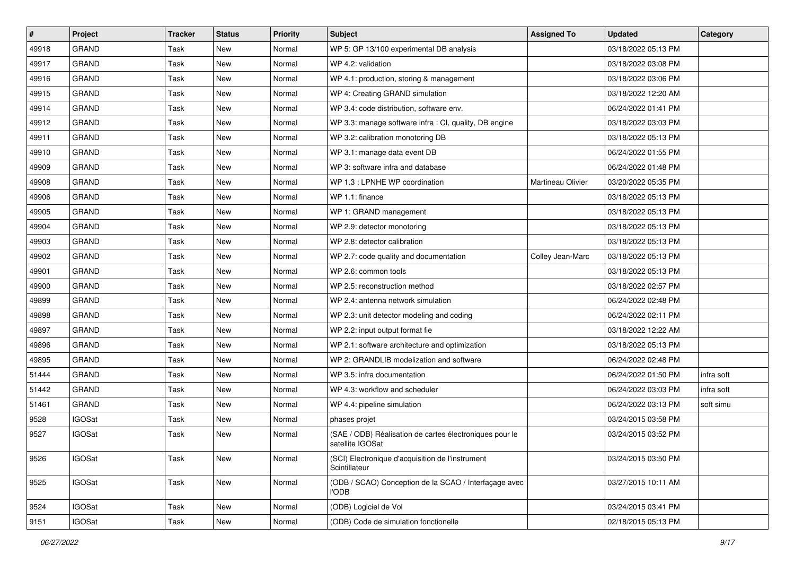| $\sharp$ | <b>Project</b> | <b>Tracker</b> | <b>Status</b> | <b>Priority</b> | <b>Subject</b>                                                              | <b>Assigned To</b> | <b>Updated</b>      | Category   |
|----------|----------------|----------------|---------------|-----------------|-----------------------------------------------------------------------------|--------------------|---------------------|------------|
| 49918    | <b>GRAND</b>   | Task           | New           | Normal          | WP 5: GP 13/100 experimental DB analysis                                    |                    | 03/18/2022 05:13 PM |            |
| 49917    | <b>GRAND</b>   | Task           | New           | Normal          | WP 4.2: validation                                                          |                    | 03/18/2022 03:08 PM |            |
| 49916    | <b>GRAND</b>   | Task           | New           | Normal          | WP 4.1: production, storing & management                                    |                    | 03/18/2022 03:06 PM |            |
| 49915    | <b>GRAND</b>   | Task           | New           | Normal          | WP 4: Creating GRAND simulation                                             |                    | 03/18/2022 12:20 AM |            |
| 49914    | <b>GRAND</b>   | Task           | <b>New</b>    | Normal          | WP 3.4: code distribution, software env.                                    |                    | 06/24/2022 01:41 PM |            |
| 49912    | <b>GRAND</b>   | Task           | New           | Normal          | WP 3.3: manage software infra : CI, quality, DB engine                      |                    | 03/18/2022 03:03 PM |            |
| 49911    | <b>GRAND</b>   | Task           | <b>New</b>    | Normal          | WP 3.2: calibration monotoring DB                                           |                    | 03/18/2022 05:13 PM |            |
| 49910    | <b>GRAND</b>   | Task           | <b>New</b>    | Normal          | WP 3.1: manage data event DB                                                |                    | 06/24/2022 01:55 PM |            |
| 49909    | <b>GRAND</b>   | Task           | New           | Normal          | WP 3: software infra and database                                           |                    | 06/24/2022 01:48 PM |            |
| 49908    | <b>GRAND</b>   | Task           | New           | Normal          | WP 1.3 : LPNHE WP coordination                                              | Martineau Olivier  | 03/20/2022 05:35 PM |            |
| 49906    | <b>GRAND</b>   | Task           | New           | Normal          | WP 1.1: finance                                                             |                    | 03/18/2022 05:13 PM |            |
| 49905    | <b>GRAND</b>   | Task           | <b>New</b>    | Normal          | WP 1: GRAND management                                                      |                    | 03/18/2022 05:13 PM |            |
| 49904    | <b>GRAND</b>   | Task           | New           | Normal          | WP 2.9: detector monotoring                                                 |                    | 03/18/2022 05:13 PM |            |
| 49903    | <b>GRAND</b>   | Task           | <b>New</b>    | Normal          | WP 2.8: detector calibration                                                |                    | 03/18/2022 05:13 PM |            |
| 49902    | <b>GRAND</b>   | Task           | New           | Normal          | WP 2.7: code quality and documentation                                      | Colley Jean-Marc   | 03/18/2022 05:13 PM |            |
| 49901    | <b>GRAND</b>   | Task           | New           | Normal          | WP 2.6: common tools                                                        |                    | 03/18/2022 05:13 PM |            |
| 49900    | <b>GRAND</b>   | Task           | New           | Normal          | WP 2.5: reconstruction method                                               |                    | 03/18/2022 02:57 PM |            |
| 49899    | GRAND          | Task           | New           | Normal          | WP 2.4: antenna network simulation                                          |                    | 06/24/2022 02:48 PM |            |
| 49898    | <b>GRAND</b>   | Task           | New           | Normal          | WP 2.3: unit detector modeling and coding                                   |                    | 06/24/2022 02:11 PM |            |
| 49897    | <b>GRAND</b>   | Task           | New           | Normal          | WP 2.2: input output format fie                                             |                    | 03/18/2022 12:22 AM |            |
| 49896    | <b>GRAND</b>   | Task           | New           | Normal          | WP 2.1: software architecture and optimization                              |                    | 03/18/2022 05:13 PM |            |
| 49895    | <b>GRAND</b>   | Task           | New           | Normal          | WP 2: GRANDLIB modelization and software                                    |                    | 06/24/2022 02:48 PM |            |
| 51444    | <b>GRAND</b>   | Task           | New           | Normal          | WP 3.5: infra documentation                                                 |                    | 06/24/2022 01:50 PM | infra soft |
| 51442    | <b>GRAND</b>   | Task           | New           | Normal          | WP 4.3: workflow and scheduler                                              |                    | 06/24/2022 03:03 PM | infra soft |
| 51461    | <b>GRAND</b>   | Task           | <b>New</b>    | Normal          | WP 4.4: pipeline simulation                                                 |                    | 06/24/2022 03:13 PM | soft simu  |
| 9528     | <b>IGOSat</b>  | Task           | New           | Normal          | phases projet                                                               |                    | 03/24/2015 03:58 PM |            |
| 9527     | <b>IGOSat</b>  | Task           | <b>New</b>    | Normal          | (SAE / ODB) Réalisation de cartes électroniques pour le<br>satellite IGOSat |                    | 03/24/2015 03:52 PM |            |
| 9526     | <b>IGOSat</b>  | Task           | New           | Normal          | (SCI) Electronique d'acquisition de l'instrument<br>Scintillateur           |                    | 03/24/2015 03:50 PM |            |
| 9525     | <b>IGOSat</b>  | Task           | New           | Normal          | (ODB / SCAO) Conception de la SCAO / Interfaçage avec<br>l'ODB              |                    | 03/27/2015 10:11 AM |            |
| 9524     | <b>IGOSat</b>  | Task           | New           | Normal          | (ODB) Logiciel de Vol                                                       |                    | 03/24/2015 03:41 PM |            |
| 9151     | <b>IGOSat</b>  | Task           | New           | Normal          | (ODB) Code de simulation fonctionelle                                       |                    | 02/18/2015 05:13 PM |            |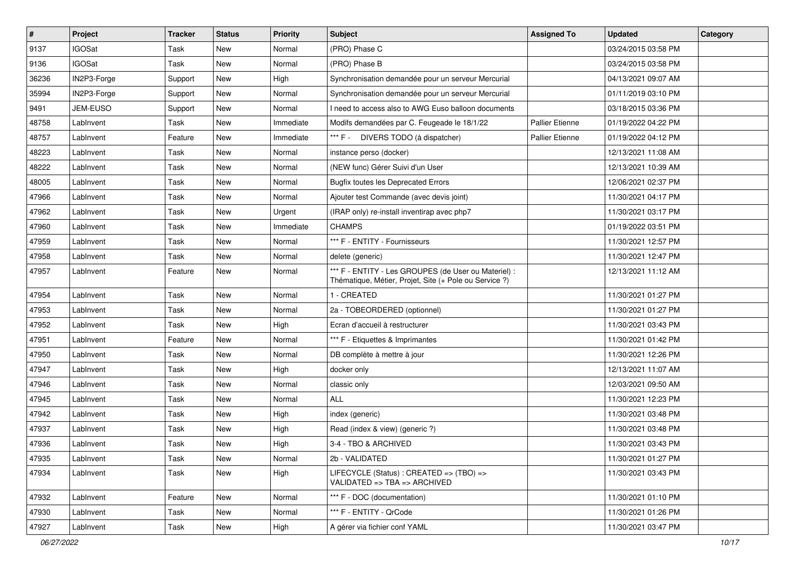| $\vert$ # | <b>Project</b> | <b>Tracker</b> | <b>Status</b> | <b>Priority</b> | <b>Subject</b>                                                                                                 | <b>Assigned To</b>     | <b>Updated</b>      | Category |
|-----------|----------------|----------------|---------------|-----------------|----------------------------------------------------------------------------------------------------------------|------------------------|---------------------|----------|
| 9137      | <b>IGOSat</b>  | Task           | <b>New</b>    | Normal          | (PRO) Phase C                                                                                                  |                        | 03/24/2015 03:58 PM |          |
| 9136      | <b>IGOSat</b>  | Task           | <b>New</b>    | Normal          | (PRO) Phase B                                                                                                  |                        | 03/24/2015 03:58 PM |          |
| 36236     | IN2P3-Forge    | Support        | New           | High            | Synchronisation demandée pour un serveur Mercurial                                                             |                        | 04/13/2021 09:07 AM |          |
| 35994     | IN2P3-Forge    | Support        | New           | Normal          | Synchronisation demandée pour un serveur Mercurial                                                             |                        | 01/11/2019 03:10 PM |          |
| 9491      | JEM-EUSO       | Support        | New           | Normal          | I need to access also to AWG Euso balloon documents                                                            |                        | 03/18/2015 03:36 PM |          |
| 48758     | LabInvent      | Task           | New           | Immediate       | Modifs demandées par C. Feugeade le 18/1/22                                                                    | <b>Pallier Etienne</b> | 01/19/2022 04:22 PM |          |
| 48757     | LabInvent      | Feature        | New           | Immediate       | *** F - DIVERS TODO (à dispatcher)                                                                             | <b>Pallier Etienne</b> | 01/19/2022 04:12 PM |          |
| 48223     | Lablnvent      | Task           | New           | Normal          | instance perso (docker)                                                                                        |                        | 12/13/2021 11:08 AM |          |
| 48222     | LabInvent      | Task           | New           | Normal          | (NEW func) Gérer Suivi d'un User                                                                               |                        | 12/13/2021 10:39 AM |          |
| 48005     | LabInvent      | Task           | <b>New</b>    | Normal          | <b>Bugfix toutes les Deprecated Errors</b>                                                                     |                        | 12/06/2021 02:37 PM |          |
| 47966     | LabInvent      | Task           | <b>New</b>    | Normal          | Ajouter test Commande (avec devis joint)                                                                       |                        | 11/30/2021 04:17 PM |          |
| 47962     | Lablnvent      | Task           | New           | Urgent          | (IRAP only) re-install inventirap avec php7                                                                    |                        | 11/30/2021 03:17 PM |          |
| 47960     | LabInvent      | Task           | New           | Immediate       | <b>CHAMPS</b>                                                                                                  |                        | 01/19/2022 03:51 PM |          |
| 47959     | LabInvent      | Task           | New           | Normal          | *** F - ENTITY - Fournisseurs                                                                                  |                        | 11/30/2021 12:57 PM |          |
| 47958     | LabInvent      | Task           | New           | Normal          | delete (generic)                                                                                               |                        | 11/30/2021 12:47 PM |          |
| 47957     | LabInvent      | Feature        | New           | Normal          | *** F - ENTITY - Les GROUPES (de User ou Materiel) :<br>Thématique, Métier, Projet, Site (+ Pole ou Service ?) |                        | 12/13/2021 11:12 AM |          |
| 47954     | LabInvent      | Task           | New           | Normal          | 1 - CREATED                                                                                                    |                        | 11/30/2021 01:27 PM |          |
| 47953     | LabInvent      | Task           | New           | Normal          | 2a - TOBEORDERED (optionnel)                                                                                   |                        | 11/30/2021 01:27 PM |          |
| 47952     | LabInvent      | Task           | New           | High            | Ecran d'accueil à restructurer                                                                                 |                        | 11/30/2021 03:43 PM |          |
| 47951     | Lablnvent      | Feature        | New           | Normal          | *** F - Etiquettes & Imprimantes                                                                               |                        | 11/30/2021 01:42 PM |          |
| 47950     | LabInvent      | Task           | New           | Normal          | DB complète à mettre à jour                                                                                    |                        | 11/30/2021 12:26 PM |          |
| 47947     | LabInvent      | Task           | New           | High            | docker only                                                                                                    |                        | 12/13/2021 11:07 AM |          |
| 47946     | LabInvent      | Task           | <b>New</b>    | Normal          | classic only                                                                                                   |                        | 12/03/2021 09:50 AM |          |
| 47945     | LabInvent      | Task           | New           | Normal          | ALL                                                                                                            |                        | 11/30/2021 12:23 PM |          |
| 47942     | LabInvent      | Task           | New           | High            | index (generic)                                                                                                |                        | 11/30/2021 03:48 PM |          |
| 47937     | LabInvent      | Task           | New           | High            | Read (index & view) (generic ?)                                                                                |                        | 11/30/2021 03:48 PM |          |
| 47936     | LabInvent      | Task           | New           | High            | 3-4 - TBO & ARCHIVED                                                                                           |                        | 11/30/2021 03:43 PM |          |
| 47935     | LabInvent      | Task           | New           | Normal          | 2b - VALIDATED                                                                                                 |                        | 11/30/2021 01:27 PM |          |
| 47934     | LabInvent      | Task           | New           | High            | LIFECYCLE (Status) : CREATED => (TBO) =><br>VALIDATED => TBA => ARCHIVED                                       |                        | 11/30/2021 03:43 PM |          |
| 47932     | LabInvent      | Feature        | New           | Normal          | *** F - DOC (documentation)                                                                                    |                        | 11/30/2021 01:10 PM |          |
| 47930     | LabInvent      | Task           | New           | Normal          | *** F - ENTITY - QrCode                                                                                        |                        | 11/30/2021 01:26 PM |          |
| 47927     | LabInvent      | Task           | New           | High            | A gérer via fichier conf YAML                                                                                  |                        | 11/30/2021 03:47 PM |          |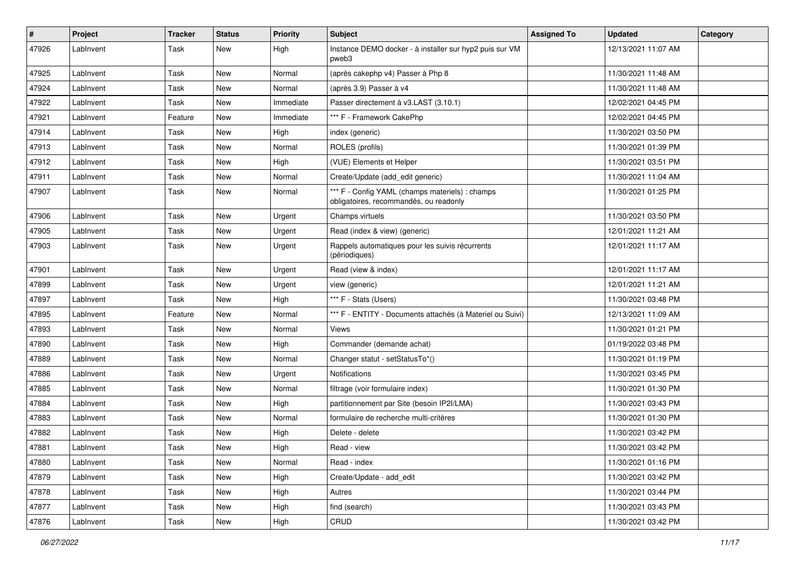| $\pmb{\#}$ | Project   | <b>Tracker</b> | <b>Status</b> | <b>Priority</b> | <b>Subject</b>                                                                            | <b>Assigned To</b> | <b>Updated</b>      | Category |
|------------|-----------|----------------|---------------|-----------------|-------------------------------------------------------------------------------------------|--------------------|---------------------|----------|
| 47926      | LabInvent | Task           | New           | High            | Instance DEMO docker - à installer sur hyp2 puis sur VM<br>pweb3                          |                    | 12/13/2021 11:07 AM |          |
| 47925      | LabInvent | Task           | <b>New</b>    | Normal          | (après cakephp v4) Passer à Php 8                                                         |                    | 11/30/2021 11:48 AM |          |
| 47924      | LabInvent | Task           | New           | Normal          | (après 3.9) Passer à v4                                                                   |                    | 11/30/2021 11:48 AM |          |
| 47922      | LabInvent | Task           | New           | Immediate       | Passer directement à v3.LAST (3.10.1)                                                     |                    | 12/02/2021 04:45 PM |          |
| 47921      | LabInvent | Feature        | New           | Immediate       | *** F - Framework CakePhp                                                                 |                    | 12/02/2021 04:45 PM |          |
| 47914      | LabInvent | Task           | New           | High            | index (generic)                                                                           |                    | 11/30/2021 03:50 PM |          |
| 47913      | LabInvent | Task           | New           | Normal          | ROLES (profils)                                                                           |                    | 11/30/2021 01:39 PM |          |
| 47912      | LabInvent | Task           | <b>New</b>    | High            | (VUE) Elements et Helper                                                                  |                    | 11/30/2021 03:51 PM |          |
| 47911      | LabInvent | Task           | New           | Normal          | Create/Update (add_edit generic)                                                          |                    | 11/30/2021 11:04 AM |          |
| 47907      | LabInvent | Task           | New           | Normal          | *** F - Config YAML (champs materiels) : champs<br>obligatoires, recommandés, ou readonly |                    | 11/30/2021 01:25 PM |          |
| 47906      | LabInvent | Task           | New           | Urgent          | Champs virtuels                                                                           |                    | 11/30/2021 03:50 PM |          |
| 47905      | LabInvent | Task           | New           | Urgent          | Read (index & view) (generic)                                                             |                    | 12/01/2021 11:21 AM |          |
| 47903      | LabInvent | Task           | New           | Urgent          | Rappels automatiques pour les suivis récurrents<br>(périodiques)                          |                    | 12/01/2021 11:17 AM |          |
| 47901      | LabInvent | Task           | New           | Urgent          | Read (view & index)                                                                       |                    | 12/01/2021 11:17 AM |          |
| 47899      | LabInvent | Task           | New           | Urgent          | view (generic)                                                                            |                    | 12/01/2021 11:21 AM |          |
| 47897      | LabInvent | Task           | New           | High            | *** F - Stats (Users)                                                                     |                    | 11/30/2021 03:48 PM |          |
| 47895      | LabInvent | Feature        | New           | Normal          | *** F - ENTITY - Documents attachés (à Materiel ou Suivi)                                 |                    | 12/13/2021 11:09 AM |          |
| 47893      | LabInvent | Task           | New           | Normal          | <b>Views</b>                                                                              |                    | 11/30/2021 01:21 PM |          |
| 47890      | LabInvent | Task           | <b>New</b>    | High            | Commander (demande achat)                                                                 |                    | 01/19/2022 03:48 PM |          |
| 47889      | LabInvent | Task           | New           | Normal          | Changer statut - setStatusTo*()                                                           |                    | 11/30/2021 01:19 PM |          |
| 47886      | LabInvent | Task           | New           | Urgent          | <b>Notifications</b>                                                                      |                    | 11/30/2021 03:45 PM |          |
| 47885      | LabInvent | Task           | New           | Normal          | filtrage (voir formulaire index)                                                          |                    | 11/30/2021 01:30 PM |          |
| 47884      | LabInvent | Task           | New           | High            | partitionnement par Site (besoin IP2I/LMA)                                                |                    | 11/30/2021 03:43 PM |          |
| 47883      | LabInvent | Task           | New           | Normal          | formulaire de recherche multi-critères                                                    |                    | 11/30/2021 01:30 PM |          |
| 47882      | LabInvent | Task           | <b>New</b>    | High            | Delete - delete                                                                           |                    | 11/30/2021 03:42 PM |          |
| 47881      | LabInvent | Task           | New           | High            | Read - view                                                                               |                    | 11/30/2021 03:42 PM |          |
| 47880      | LabInvent | Task           | New           | Normal          | Read - index                                                                              |                    | 11/30/2021 01:16 PM |          |
| 47879      | LabInvent | Task           | New           | High            | Create/Update - add_edit                                                                  |                    | 11/30/2021 03:42 PM |          |
| 47878      | Lablnvent | Task           | New           | High            | Autres                                                                                    |                    | 11/30/2021 03:44 PM |          |
| 47877      | Lablnvent | Task           | New           | High            | find (search)                                                                             |                    | 11/30/2021 03:43 PM |          |
| 47876      | LabInvent | Task           | New           | High            | CRUD                                                                                      |                    | 11/30/2021 03:42 PM |          |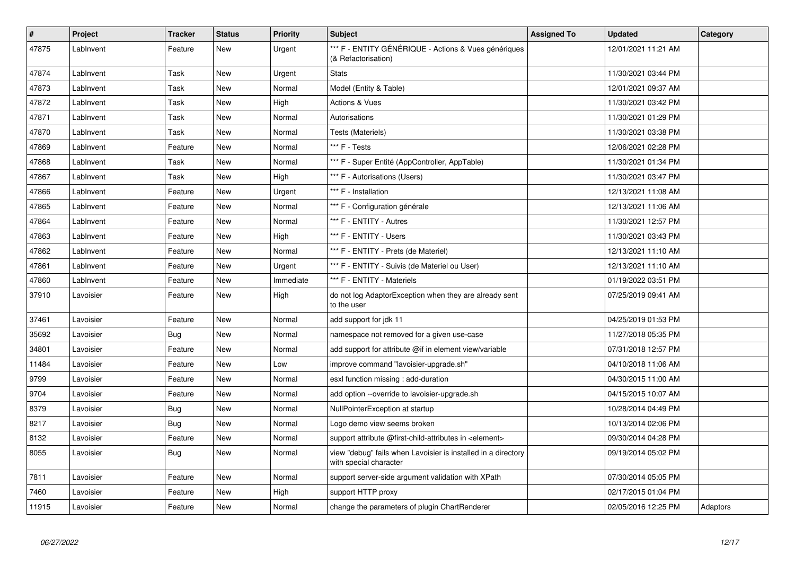| $\pmb{\#}$ | <b>Project</b> | Tracker | <b>Status</b> | <b>Priority</b> | <b>Subject</b>                                                                          | <b>Assigned To</b> | <b>Updated</b>      | Category |
|------------|----------------|---------|---------------|-----------------|-----------------------------------------------------------------------------------------|--------------------|---------------------|----------|
| 47875      | LabInvent      | Feature | New           | Urgent          | *** F - ENTITY GÉNÉRIQUE - Actions & Vues génériques<br>(& Refactorisation)             |                    | 12/01/2021 11:21 AM |          |
| 47874      | LabInvent      | Task    | <b>New</b>    | Urgent          | <b>Stats</b>                                                                            |                    | 11/30/2021 03:44 PM |          |
| 47873      | LabInvent      | Task    | <b>New</b>    | Normal          | Model (Entity & Table)                                                                  |                    | 12/01/2021 09:37 AM |          |
| 47872      | LabInvent      | Task    | <b>New</b>    | High            | <b>Actions &amp; Vues</b>                                                               |                    | 11/30/2021 03:42 PM |          |
| 47871      | LabInvent      | Task    | New           | Normal          | Autorisations                                                                           |                    | 11/30/2021 01:29 PM |          |
| 47870      | LabInvent      | Task    | New           | Normal          | Tests (Materiels)                                                                       |                    | 11/30/2021 03:38 PM |          |
| 47869      | LabInvent      | Feature | <b>New</b>    | Normal          | *** F - Tests                                                                           |                    | 12/06/2021 02:28 PM |          |
| 47868      | LabInvent      | Task    | <b>New</b>    | Normal          | *** F - Super Entité (AppController, AppTable)                                          |                    | 11/30/2021 01:34 PM |          |
| 47867      | LabInvent      | Task    | <b>New</b>    | High            | *** F - Autorisations (Users)                                                           |                    | 11/30/2021 03:47 PM |          |
| 47866      | Lablnvent      | Feature | <b>New</b>    | Urgent          | *** F - Installation                                                                    |                    | 12/13/2021 11:08 AM |          |
| 47865      | LabInvent      | Feature | <b>New</b>    | Normal          | *** F - Configuration générale                                                          |                    | 12/13/2021 11:06 AM |          |
| 47864      | LabInvent      | Feature | <b>New</b>    | Normal          | *** F - ENTITY - Autres                                                                 |                    | 11/30/2021 12:57 PM |          |
| 47863      | LabInvent      | Feature | New           | High            | *** F - ENTITY - Users                                                                  |                    | 11/30/2021 03:43 PM |          |
| 47862      | LabInvent      | Feature | <b>New</b>    | Normal          | *** F - ENTITY - Prets (de Materiel)                                                    |                    | 12/13/2021 11:10 AM |          |
| 47861      | LabInvent      | Feature | New           | Urgent          | *** F - ENTITY - Suivis (de Materiel ou User)                                           |                    | 12/13/2021 11:10 AM |          |
| 47860      | LabInvent      | Feature | New           | Immediate       | *** F - ENTITY - Materiels                                                              |                    | 01/19/2022 03:51 PM |          |
| 37910      | Lavoisier      | Feature | New           | High            | do not log AdaptorException when they are already sent<br>to the user                   |                    | 07/25/2019 09:41 AM |          |
| 37461      | Lavoisier      | Feature | <b>New</b>    | Normal          | add support for jdk 11                                                                  |                    | 04/25/2019 01:53 PM |          |
| 35692      | Lavoisier      | Bug     | <b>New</b>    | Normal          | namespace not removed for a given use-case                                              |                    | 11/27/2018 05:35 PM |          |
| 34801      | Lavoisier      | Feature | <b>New</b>    | Normal          | add support for attribute @if in element view/variable                                  |                    | 07/31/2018 12:57 PM |          |
| 11484      | Lavoisier      | Feature | New           | Low             | improve command "lavoisier-upgrade.sh"                                                  |                    | 04/10/2018 11:06 AM |          |
| 9799       | Lavoisier      | Feature | <b>New</b>    | Normal          | esxl function missing : add-duration                                                    |                    | 04/30/2015 11:00 AM |          |
| 9704       | Lavoisier      | Feature | <b>New</b>    | Normal          | add option --override to lavoisier-upgrade.sh                                           |                    | 04/15/2015 10:07 AM |          |
| 8379       | Lavoisier      | Bug     | <b>New</b>    | Normal          | NullPointerException at startup                                                         |                    | 10/28/2014 04:49 PM |          |
| 8217       | Lavoisier      | Bug     | <b>New</b>    | Normal          | Logo demo view seems broken                                                             |                    | 10/13/2014 02:06 PM |          |
| 8132       | Lavoisier      | Feature | <b>New</b>    | Normal          | support attribute @first-child-attributes in <element></element>                        |                    | 09/30/2014 04:28 PM |          |
| 8055       | Lavoisier      | Bug     | <b>New</b>    | Normal          | view "debug" fails when Lavoisier is installed in a directory<br>with special character |                    | 09/19/2014 05:02 PM |          |
| 7811       | Lavoisier      | Feature | <b>New</b>    | Normal          | support server-side argument validation with XPath                                      |                    | 07/30/2014 05:05 PM |          |
| 7460       | Lavoisier      | Feature | New           | High            | support HTTP proxy                                                                      |                    | 02/17/2015 01:04 PM |          |
| 11915      | Lavoisier      | Feature | <b>New</b>    | Normal          | change the parameters of plugin ChartRenderer                                           |                    | 02/05/2016 12:25 PM | Adaptors |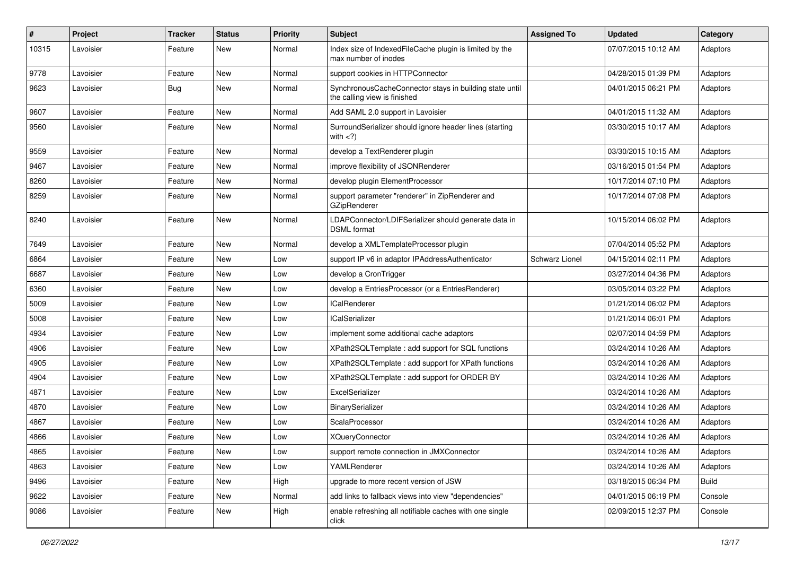| $\#$  | Project   | <b>Tracker</b> | <b>Status</b> | <b>Priority</b> | Subject                                                                                 | <b>Assigned To</b> | <b>Updated</b>      | Category |
|-------|-----------|----------------|---------------|-----------------|-----------------------------------------------------------------------------------------|--------------------|---------------------|----------|
| 10315 | Lavoisier | Feature        | New           | Normal          | Index size of IndexedFileCache plugin is limited by the<br>max number of inodes         |                    | 07/07/2015 10:12 AM | Adaptors |
| 9778  | Lavoisier | Feature        | New           | Normal          | support cookies in HTTPConnector                                                        |                    | 04/28/2015 01:39 PM | Adaptors |
| 9623  | Lavoisier | Bug            | New           | Normal          | SynchronousCacheConnector stays in building state until<br>the calling view is finished |                    | 04/01/2015 06:21 PM | Adaptors |
| 9607  | Lavoisier | Feature        | <b>New</b>    | Normal          | Add SAML 2.0 support in Lavoisier                                                       |                    | 04/01/2015 11:32 AM | Adaptors |
| 9560  | Lavoisier | Feature        | New           | Normal          | SurroundSerializer should ignore header lines (starting<br>with $\langle$ ?)            |                    | 03/30/2015 10:17 AM | Adaptors |
| 9559  | Lavoisier | Feature        | <b>New</b>    | Normal          | develop a TextRenderer plugin                                                           |                    | 03/30/2015 10:15 AM | Adaptors |
| 9467  | Lavoisier | Feature        | <b>New</b>    | Normal          | improve flexibility of JSONRenderer                                                     |                    | 03/16/2015 01:54 PM | Adaptors |
| 8260  | Lavoisier | Feature        | New           | Normal          | develop plugin ElementProcessor                                                         |                    | 10/17/2014 07:10 PM | Adaptors |
| 8259  | Lavoisier | Feature        | New           | Normal          | support parameter "renderer" in ZipRenderer and<br><b>GZipRenderer</b>                  |                    | 10/17/2014 07:08 PM | Adaptors |
| 8240  | Lavoisier | Feature        | <b>New</b>    | Normal          | LDAPConnector/LDIFSerializer should generate data in<br><b>DSML</b> format              |                    | 10/15/2014 06:02 PM | Adaptors |
| 7649  | Lavoisier | Feature        | <b>New</b>    | Normal          | develop a XMLTemplateProcessor plugin                                                   |                    | 07/04/2014 05:52 PM | Adaptors |
| 6864  | Lavoisier | Feature        | New           | Low             | support IP v6 in adaptor IPAddressAuthenticator                                         | Schwarz Lionel     | 04/15/2014 02:11 PM | Adaptors |
| 6687  | Lavoisier | Feature        | <b>New</b>    | Low             | develop a CronTrigger                                                                   |                    | 03/27/2014 04:36 PM | Adaptors |
| 6360  | Lavoisier | Feature        | New           | Low             | develop a EntriesProcessor (or a EntriesRenderer)                                       |                    | 03/05/2014 03:22 PM | Adaptors |
| 5009  | Lavoisier | Feature        | New           | Low             | <b>ICalRenderer</b>                                                                     |                    | 01/21/2014 06:02 PM | Adaptors |
| 5008  | Lavoisier | Feature        | New           | Low             | <b>ICalSerializer</b>                                                                   |                    | 01/21/2014 06:01 PM | Adaptors |
| 4934  | Lavoisier | Feature        | New           | Low             | implement some additional cache adaptors                                                |                    | 02/07/2014 04:59 PM | Adaptors |
| 4906  | Lavoisier | Feature        | <b>New</b>    | Low             | XPath2SQLTemplate : add support for SQL functions                                       |                    | 03/24/2014 10:26 AM | Adaptors |
| 4905  | Lavoisier | Feature        | New           | Low             | XPath2SQLTemplate: add support for XPath functions                                      |                    | 03/24/2014 10:26 AM | Adaptors |
| 4904  | Lavoisier | Feature        | New           | Low             | XPath2SQLTemplate : add support for ORDER BY                                            |                    | 03/24/2014 10:26 AM | Adaptors |
| 4871  | Lavoisier | Feature        | New           | Low             | ExcelSerializer                                                                         |                    | 03/24/2014 10:26 AM | Adaptors |
| 4870  | Lavoisier | Feature        | New           | Low             | BinarySerializer                                                                        |                    | 03/24/2014 10:26 AM | Adaptors |
| 4867  | Lavoisier | Feature        | New           | Low             | ScalaProcessor                                                                          |                    | 03/24/2014 10:26 AM | Adaptors |
| 4866  | Lavoisier | Feature        | New           | Low             | <b>XQueryConnector</b>                                                                  |                    | 03/24/2014 10:26 AM | Adaptors |
| 4865  | Lavoisier | Feature        | New           | LOW             | support remote connection in JMXConnector                                               |                    | 03/24/2014 10:26 AM | Adaptors |
| 4863  | Lavoisier | Feature        | New           | Low             | YAMLRenderer                                                                            |                    | 03/24/2014 10:26 AM | Adaptors |
| 9496  | Lavoisier | Feature        | New           | High            | upgrade to more recent version of JSW                                                   |                    | 03/18/2015 06:34 PM | Build    |
| 9622  | Lavoisier | Feature        | New           | Normal          | add links to fallback views into view "dependencies"                                    |                    | 04/01/2015 06:19 PM | Console  |
| 9086  | Lavoisier | Feature        | New           | High            | enable refreshing all notifiable caches with one single<br>click                        |                    | 02/09/2015 12:37 PM | Console  |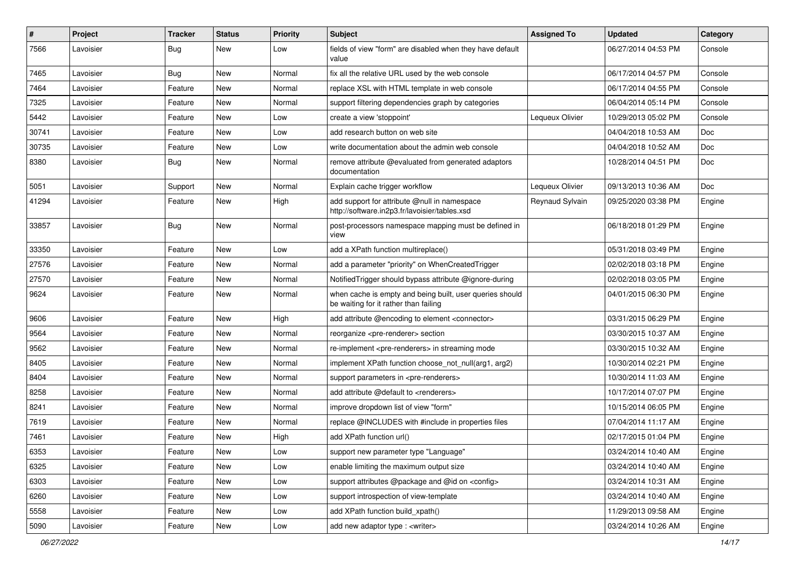| #     | Project   | <b>Tracker</b> | <b>Status</b> | <b>Priority</b> | Subject                                                                                           | <b>Assigned To</b> | <b>Updated</b>      | Category |
|-------|-----------|----------------|---------------|-----------------|---------------------------------------------------------------------------------------------------|--------------------|---------------------|----------|
| 7566  | Lavoisier | Bug            | New           | Low             | fields of view "form" are disabled when they have default<br>value                                |                    | 06/27/2014 04:53 PM | Console  |
| 7465  | Lavoisier | <b>Bug</b>     | <b>New</b>    | Normal          | fix all the relative URL used by the web console                                                  |                    | 06/17/2014 04:57 PM | Console  |
| 7464  | Lavoisier | Feature        | New           | Normal          | replace XSL with HTML template in web console                                                     |                    | 06/17/2014 04:55 PM | Console  |
| 7325  | Lavoisier | Feature        | New           | Normal          | support filtering dependencies graph by categories                                                |                    | 06/04/2014 05:14 PM | Console  |
| 5442  | Lavoisier | Feature        | New           | Low             | create a view 'stoppoint'                                                                         | Lequeux Olivier    | 10/29/2013 05:02 PM | Console  |
| 30741 | Lavoisier | Feature        | New           | Low             | add research button on web site                                                                   |                    | 04/04/2018 10:53 AM | Doc      |
| 30735 | Lavoisier | Feature        | New           | Low             | write documentation about the admin web console                                                   |                    | 04/04/2018 10:52 AM | Doc      |
| 8380  | Lavoisier | <b>Bug</b>     | New           | Normal          | remove attribute @evaluated from generated adaptors<br>documentation                              |                    | 10/28/2014 04:51 PM | Doc      |
| 5051  | Lavoisier | Support        | New           | Normal          | Explain cache trigger workflow                                                                    | Lequeux Olivier    | 09/13/2013 10:36 AM | Doc      |
| 41294 | Lavoisier | Feature        | New           | High            | add support for attribute @null in namespace<br>http://software.in2p3.fr/lavoisier/tables.xsd     | Reynaud Sylvain    | 09/25/2020 03:38 PM | Engine   |
| 33857 | Lavoisier | <b>Bug</b>     | <b>New</b>    | Normal          | post-processors namespace mapping must be defined in<br>view                                      |                    | 06/18/2018 01:29 PM | Engine   |
| 33350 | Lavoisier | Feature        | New           | Low             | add a XPath function multireplace()                                                               |                    | 05/31/2018 03:49 PM | Engine   |
| 27576 | Lavoisier | Feature        | New           | Normal          | add a parameter "priority" on WhenCreatedTrigger                                                  |                    | 02/02/2018 03:18 PM | Engine   |
| 27570 | Lavoisier | Feature        | New           | Normal          | NotifiedTrigger should bypass attribute @ignore-during                                            |                    | 02/02/2018 03:05 PM | Engine   |
| 9624  | Lavoisier | Feature        | New           | Normal          | when cache is empty and being built, user queries should<br>be waiting for it rather than failing |                    | 04/01/2015 06:30 PM | Engine   |
| 9606  | Lavoisier | Feature        | <b>New</b>    | High            | add attribute @encoding to element <connector></connector>                                        |                    | 03/31/2015 06:29 PM | Engine   |
| 9564  | Lavoisier | Feature        | New           | Normal          | reorganize <pre-renderer> section</pre-renderer>                                                  |                    | 03/30/2015 10:37 AM | Engine   |
| 9562  | Lavoisier | Feature        | <b>New</b>    | Normal          | re-implement <pre-renderers> in streaming mode</pre-renderers>                                    |                    | 03/30/2015 10:32 AM | Engine   |
| 8405  | Lavoisier | Feature        | New           | Normal          | implement XPath function choose not null(arg1, arg2)                                              |                    | 10/30/2014 02:21 PM | Engine   |
| 8404  | Lavoisier | Feature        | New           | Normal          | support parameters in <pre-renderers></pre-renderers>                                             |                    | 10/30/2014 11:03 AM | Engine   |
| 8258  | Lavoisier | Feature        | <b>New</b>    | Normal          | add attribute @default to <renderers></renderers>                                                 |                    | 10/17/2014 07:07 PM | Engine   |
| 8241  | Lavoisier | Feature        | New           | Normal          | improve dropdown list of view "form"                                                              |                    | 10/15/2014 06:05 PM | Engine   |
| 7619  | Lavoisier | Feature        | New           | Normal          | replace @INCLUDES with #include in properties files                                               |                    | 07/04/2014 11:17 AM | Engine   |
| 7461  | Lavoisier | Feature        | New           | High            | add XPath function url()                                                                          |                    | 02/17/2015 01:04 PM | Engine   |
| 6353  | Lavoisier | Feature        | New           | LOW             | support new parameter type "Language"                                                             |                    | 03/24/2014 10:40 AM | Engine   |
| 6325  | Lavoisier | Feature        | New           | Low             | enable limiting the maximum output size                                                           |                    | 03/24/2014 10:40 AM | Engine   |
| 6303  | Lavoisier | Feature        | New           | Low             | support attributes @package and @id on <config></config>                                          |                    | 03/24/2014 10:31 AM | Engine   |
| 6260  | Lavoisier | Feature        | New           | Low             | support introspection of view-template                                                            |                    | 03/24/2014 10:40 AM | Engine   |
| 5558  | Lavoisier | Feature        | New           | Low             | add XPath function build_xpath()                                                                  |                    | 11/29/2013 09:58 AM | Engine   |
| 5090  | Lavoisier | Feature        | New           | Low             | add new adaptor type : <writer></writer>                                                          |                    | 03/24/2014 10:26 AM | Engine   |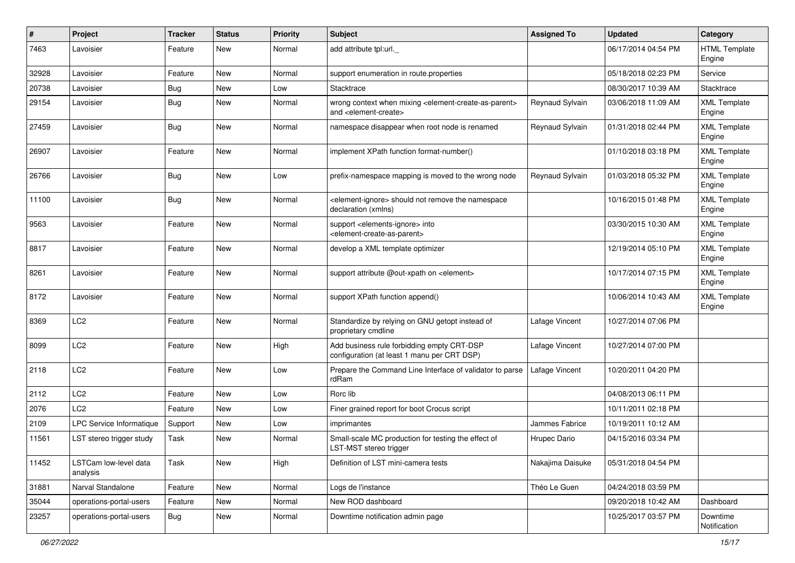| $\pmb{\#}$ | Project                           | Tracker    | <b>Status</b> | <b>Priority</b> | Subject                                                                                                                   | <b>Assigned To</b> | <b>Updated</b>      | Category                       |
|------------|-----------------------------------|------------|---------------|-----------------|---------------------------------------------------------------------------------------------------------------------------|--------------------|---------------------|--------------------------------|
| 7463       | Lavoisier                         | Feature    | <b>New</b>    | Normal          | add attribute tpl:url.                                                                                                    |                    | 06/17/2014 04:54 PM | <b>HTML Template</b><br>Engine |
| 32928      | Lavoisier                         | Feature    | <b>New</b>    | Normal          | support enumeration in route properties                                                                                   |                    | 05/18/2018 02:23 PM | Service                        |
| 20738      | Lavoisier                         | <b>Bug</b> | New           | Low             | Stacktrace                                                                                                                |                    | 08/30/2017 10:39 AM | Stacktrace                     |
| 29154      | Lavoisier                         | <b>Bug</b> | New           | Normal          | wrong context when mixing <element-create-as-parent><br/>and <element-create></element-create></element-create-as-parent> | Reynaud Sylvain    | 03/06/2018 11:09 AM | <b>XML Template</b><br>Engine  |
| 27459      | Lavoisier                         | <b>Bug</b> | <b>New</b>    | Normal          | namespace disappear when root node is renamed                                                                             | Reynaud Sylvain    | 01/31/2018 02:44 PM | <b>XML Template</b><br>Engine  |
| 26907      | Lavoisier                         | Feature    | <b>New</b>    | Normal          | implement XPath function format-number()                                                                                  |                    | 01/10/2018 03:18 PM | <b>XML Template</b><br>Engine  |
| 26766      | Lavoisier                         | Bug        | <b>New</b>    | Low             | prefix-namespace mapping is moved to the wrong node                                                                       | Reynaud Sylvain    | 01/03/2018 05:32 PM | <b>XML Template</b><br>Engine  |
| 11100      | Lavoisier                         | <b>Bug</b> | <b>New</b>    | Normal          | <element-ignore> should not remove the namespace<br/>declaration (xmlns)</element-ignore>                                 |                    | 10/16/2015 01:48 PM | <b>XML Template</b><br>Engine  |
| 9563       | Lavoisier                         | Feature    | New           | Normal          | support <elements-ignore> into<br/><element-create-as-parent></element-create-as-parent></elements-ignore>                |                    | 03/30/2015 10:30 AM | <b>XML Template</b><br>Engine  |
| 8817       | Lavoisier                         | Feature    | New           | Normal          | develop a XML template optimizer                                                                                          |                    | 12/19/2014 05:10 PM | <b>XML Template</b><br>Engine  |
| 8261       | Lavoisier                         | Feature    | New           | Normal          | support attribute @out-xpath on <element></element>                                                                       |                    | 10/17/2014 07:15 PM | <b>XML Template</b><br>Engine  |
| 8172       | Lavoisier                         | Feature    | <b>New</b>    | Normal          | support XPath function append()                                                                                           |                    | 10/06/2014 10:43 AM | <b>XML Template</b><br>Engine  |
| 8369       | LC <sub>2</sub>                   | Feature    | <b>New</b>    | Normal          | Standardize by relying on GNU getopt instead of<br>proprietary cmdline                                                    | Lafage Vincent     | 10/27/2014 07:06 PM |                                |
| 8099       | LC <sub>2</sub>                   | Feature    | <b>New</b>    | High            | Add business rule forbidding empty CRT-DSP<br>configuration (at least 1 manu per CRT DSP)                                 | Lafage Vincent     | 10/27/2014 07:00 PM |                                |
| 2118       | LC <sub>2</sub>                   | Feature    | <b>New</b>    | Low             | Prepare the Command Line Interface of validator to parse<br>rdRam                                                         | Lafage Vincent     | 10/20/2011 04:20 PM |                                |
| 2112       | LC <sub>2</sub>                   | Feature    | New           | Low             | Rorc lib                                                                                                                  |                    | 04/08/2013 06:11 PM |                                |
| 2076       | LC <sub>2</sub>                   | Feature    | New           | Low             | Finer grained report for boot Crocus script                                                                               |                    | 10/11/2011 02:18 PM |                                |
| 2109       | LPC Service Informatique          | Support    | <b>New</b>    | Low             | imprimantes                                                                                                               | Jammes Fabrice     | 10/19/2011 10:12 AM |                                |
| 11561      | LST stereo trigger study          | Task       | New           | Normal          | Small-scale MC production for testing the effect of<br>LST-MST stereo trigger                                             | Hrupec Dario       | 04/15/2016 03:34 PM |                                |
| 11452      | LSTCam low-level data<br>analysis | Task       | New           | High            | Definition of LST mini-camera tests                                                                                       | Nakajima Daisuke   | 05/31/2018 04:54 PM |                                |
| 31881      | Narval Standalone                 | Feature    | New           | Normal          | Logs de l'instance                                                                                                        | Théo Le Guen       | 04/24/2018 03:59 PM |                                |
| 35044      | operations-portal-users           | Feature    | New           | Normal          | New ROD dashboard                                                                                                         |                    | 09/20/2018 10:42 AM | Dashboard                      |
| 23257      | operations-portal-users           | <b>Bug</b> | New           | Normal          | Downtime notification admin page                                                                                          |                    | 10/25/2017 03:57 PM | Downtime<br>Notification       |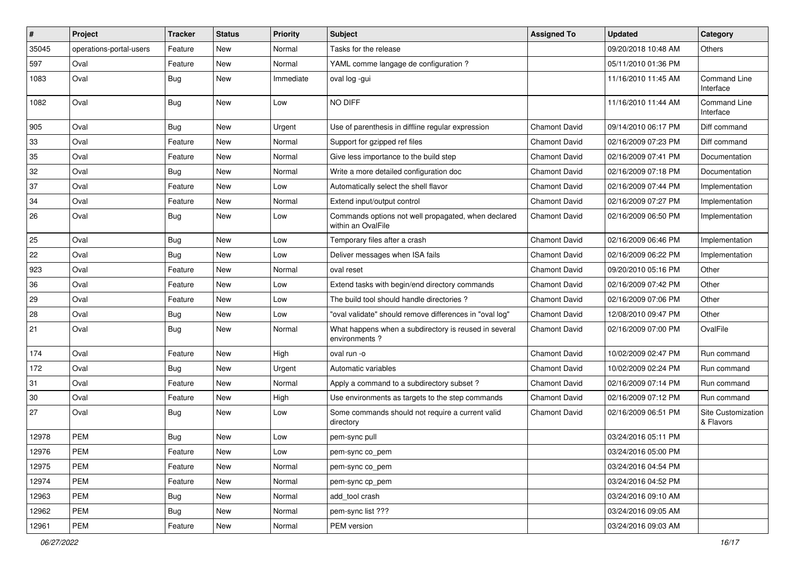| $\sharp$ | Project                 | <b>Tracker</b> | <b>Status</b> | <b>Priority</b> | Subject                                                                   | <b>Assigned To</b>   | <b>Updated</b>      | Category                        |
|----------|-------------------------|----------------|---------------|-----------------|---------------------------------------------------------------------------|----------------------|---------------------|---------------------------------|
| 35045    | operations-portal-users | Feature        | New           | Normal          | Tasks for the release                                                     |                      | 09/20/2018 10:48 AM | Others                          |
| 597      | Oval                    | Feature        | <b>New</b>    | Normal          | YAML comme langage de configuration?                                      |                      | 05/11/2010 01:36 PM |                                 |
| 1083     | Oval                    | Bug            | <b>New</b>    | Immediate       | oval log -gui                                                             |                      | 11/16/2010 11:45 AM | Command Line<br>Interface       |
| 1082     | Oval                    | Bug            | <b>New</b>    | Low             | NO DIFF                                                                   |                      | 11/16/2010 11:44 AM | Command Line<br>Interface       |
| 905      | Oval                    | Bug            | New           | Urgent          | Use of parenthesis in diffline regular expression                         | <b>Chamont David</b> | 09/14/2010 06:17 PM | Diff command                    |
| 33       | Oval                    | Feature        | <b>New</b>    | Normal          | Support for gzipped ref files                                             | <b>Chamont David</b> | 02/16/2009 07:23 PM | Diff command                    |
| 35       | Oval                    | Feature        | New           | Normal          | Give less importance to the build step                                    | <b>Chamont David</b> | 02/16/2009 07:41 PM | Documentation                   |
| 32       | Oval                    | <b>Bug</b>     | <b>New</b>    | Normal          | Write a more detailed configuration doc                                   | <b>Chamont David</b> | 02/16/2009 07:18 PM | Documentation                   |
| 37       | Oval                    | Feature        | <b>New</b>    | Low             | Automatically select the shell flavor                                     | <b>Chamont David</b> | 02/16/2009 07:44 PM | Implementation                  |
| 34       | Oval                    | Feature        | New           | Normal          | Extend input/output control                                               | <b>Chamont David</b> | 02/16/2009 07:27 PM | Implementation                  |
| 26       | Oval                    | Bug            | <b>New</b>    | Low             | Commands options not well propagated, when declared<br>within an OvalFile | <b>Chamont David</b> | 02/16/2009 06:50 PM | Implementation                  |
| 25       | Oval                    | <b>Bug</b>     | <b>New</b>    | Low             | Temporary files after a crash                                             | <b>Chamont David</b> | 02/16/2009 06:46 PM | Implementation                  |
| 22       | Oval                    | Bug            | <b>New</b>    | Low             | Deliver messages when ISA fails                                           | <b>Chamont David</b> | 02/16/2009 06:22 PM | Implementation                  |
| 923      | Oval                    | Feature        | New           | Normal          | oval reset                                                                | <b>Chamont David</b> | 09/20/2010 05:16 PM | Other                           |
| 36       | Oval                    | Feature        | <b>New</b>    | Low             | Extend tasks with begin/end directory commands                            | <b>Chamont David</b> | 02/16/2009 07:42 PM | Other                           |
| 29       | Oval                    | Feature        | <b>New</b>    | Low             | The build tool should handle directories?                                 | <b>Chamont David</b> | 02/16/2009 07:06 PM | Other                           |
| 28       | Oval                    | Bug            | New           | Low             | "oval validate" should remove differences in "oval log"                   | <b>Chamont David</b> | 12/08/2010 09:47 PM | Other                           |
| 21       | Oval                    | <b>Bug</b>     | <b>New</b>    | Normal          | What happens when a subdirectory is reused in several<br>environments?    | <b>Chamont David</b> | 02/16/2009 07:00 PM | OvalFile                        |
| 174      | Oval                    | Feature        | <b>New</b>    | High            | oval run -o                                                               | <b>Chamont David</b> | 10/02/2009 02:47 PM | Run command                     |
| 172      | Oval                    | Bug            | <b>New</b>    | Urgent          | Automatic variables                                                       | <b>Chamont David</b> | 10/02/2009 02:24 PM | Run command                     |
| 31       | Oval                    | Feature        | New           | Normal          | Apply a command to a subdirectory subset?                                 | <b>Chamont David</b> | 02/16/2009 07:14 PM | Run command                     |
| 30       | Oval                    | Feature        | <b>New</b>    | High            | Use environments as targets to the step commands                          | <b>Chamont David</b> | 02/16/2009 07:12 PM | Run command                     |
| 27       | Oval                    | <b>Bug</b>     | New           | Low             | Some commands should not require a current valid<br>directory             | <b>Chamont David</b> | 02/16/2009 06:51 PM | Site Customization<br>& Flavors |
| 12978    | <b>PEM</b>              | <b>Bug</b>     | New           | Low             | pem-sync pull                                                             |                      | 03/24/2016 05:11 PM |                                 |
| 12976    | PEM                     | Feature        | New           | Low             | pem-sync co_pem                                                           |                      | 03/24/2016 05:00 PM |                                 |
| 12975    | PEM                     | Feature        | New           | Normal          | pem-sync co_pem                                                           |                      | 03/24/2016 04:54 PM |                                 |
| 12974    | PEM                     | Feature        | New           | Normal          | pem-sync cp_pem                                                           |                      | 03/24/2016 04:52 PM |                                 |
| 12963    | PEM                     | Bug            | New           | Normal          | add tool crash                                                            |                      | 03/24/2016 09:10 AM |                                 |
| 12962    | PEM                     | <b>Bug</b>     | New           | Normal          | pem-sync list ???                                                         |                      | 03/24/2016 09:05 AM |                                 |
| 12961    | PEM                     | Feature        | New           | Normal          | PEM version                                                               |                      | 03/24/2016 09:03 AM |                                 |